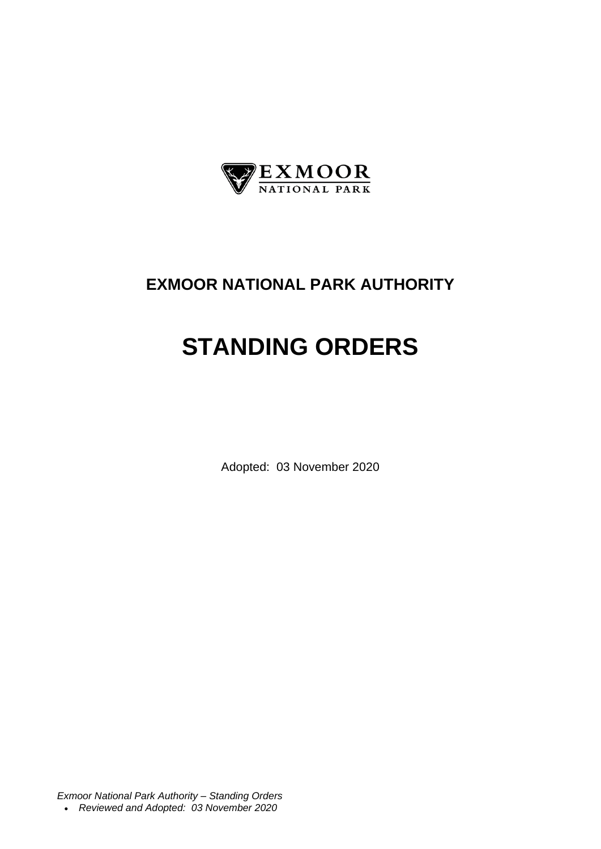

# **EXMOOR NATIONAL PARK AUTHORITY**

# **STANDING ORDERS**

Adopted: 03 November 2020

*Exmoor National Park Authority – Standing Orders*  • *Reviewed and Adopted: 03 November 2020*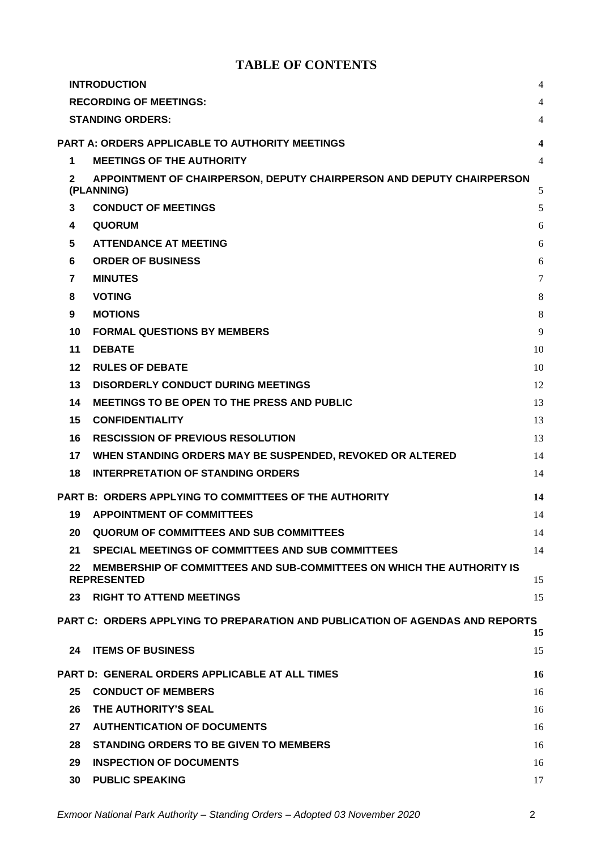# **TABLE OF CONTENTS**

|    | <b>INTRODUCTION</b>                                                                               | $\overline{4}$          |
|----|---------------------------------------------------------------------------------------------------|-------------------------|
|    | <b>RECORDING OF MEETINGS:</b>                                                                     | 4                       |
|    | <b>STANDING ORDERS:</b>                                                                           | $\overline{4}$          |
|    | <b>PART A: ORDERS APPLICABLE TO AUTHORITY MEETINGS</b>                                            | $\overline{\mathbf{4}}$ |
| 1  | <b>MEETINGS OF THE AUTHORITY</b>                                                                  | 4                       |
| 2  | APPOINTMENT OF CHAIRPERSON, DEPUTY CHAIRPERSON AND DEPUTY CHAIRPERSON<br>(PLANNING)               | 5                       |
| 3  | <b>CONDUCT OF MEETINGS</b>                                                                        | 5                       |
| 4  | <b>QUORUM</b>                                                                                     | 6                       |
| 5  | <b>ATTENDANCE AT MEETING</b>                                                                      | 6                       |
| 6  | <b>ORDER OF BUSINESS</b>                                                                          | 6                       |
| 7  | <b>MINUTES</b>                                                                                    | $\overline{7}$          |
| 8  | <b>VOTING</b>                                                                                     | 8                       |
| 9  | <b>MOTIONS</b>                                                                                    | 8                       |
|    | <b>FORMAL QUESTIONS BY MEMBERS</b><br>10                                                          | 9                       |
|    | 11<br><b>DEBATE</b>                                                                               | 10                      |
|    | <b>RULES OF DEBATE</b><br>$12 \,$                                                                 | 10                      |
|    | 13<br><b>DISORDERLY CONDUCT DURING MEETINGS</b>                                                   | 12                      |
|    | MEETINGS TO BE OPEN TO THE PRESS AND PUBLIC<br>14                                                 | 13                      |
|    | 15<br><b>CONFIDENTIALITY</b>                                                                      | 13                      |
|    | <b>RESCISSION OF PREVIOUS RESOLUTION</b><br>16                                                    | 13                      |
|    | WHEN STANDING ORDERS MAY BE SUSPENDED, REVOKED OR ALTERED<br>17                                   | 14                      |
|    | <b>INTERPRETATION OF STANDING ORDERS</b><br>18                                                    | 14                      |
|    | PART B: ORDERS APPLYING TO COMMITTEES OF THE AUTHORITY                                            | 14                      |
|    | 19<br><b>APPOINTMENT OF COMMITTEES</b>                                                            | 14                      |
| 20 | QUORUM OF COMMITTEES AND SUB COMMITTEES                                                           | 14                      |
| 21 | <b>SPECIAL MEETINGS OF COMMITTEES AND SUB COMMITTEES</b>                                          | 14                      |
|    | MEMBERSHIP OF COMMITTEES AND SUB-COMMITTEES ON WHICH THE AUTHORITY IS<br>22<br><b>REPRESENTED</b> | 15                      |
| 23 | <b>RIGHT TO ATTEND MEETINGS</b>                                                                   | 15                      |
|    | PART C: ORDERS APPLYING TO PREPARATION AND PUBLICATION OF AGENDAS AND REPORTS                     |                         |
|    |                                                                                                   | 15                      |
|    | <b>ITEMS OF BUSINESS</b><br>24                                                                    | 15                      |
|    | <b>PART D: GENERAL ORDERS APPLICABLE AT ALL TIMES</b>                                             | 16                      |
|    | <b>CONDUCT OF MEMBERS</b><br>25                                                                   | 16                      |
|    | 26<br>THE AUTHORITY'S SEAL                                                                        | 16                      |
|    | <b>AUTHENTICATION OF DOCUMENTS</b><br>27                                                          | 16                      |
|    | <b>STANDING ORDERS TO BE GIVEN TO MEMBERS</b><br>28                                               | 16                      |
|    | <b>INSPECTION OF DOCUMENTS</b><br>29                                                              | 16                      |
|    | <b>PUBLIC SPEAKING</b><br>30                                                                      | 17                      |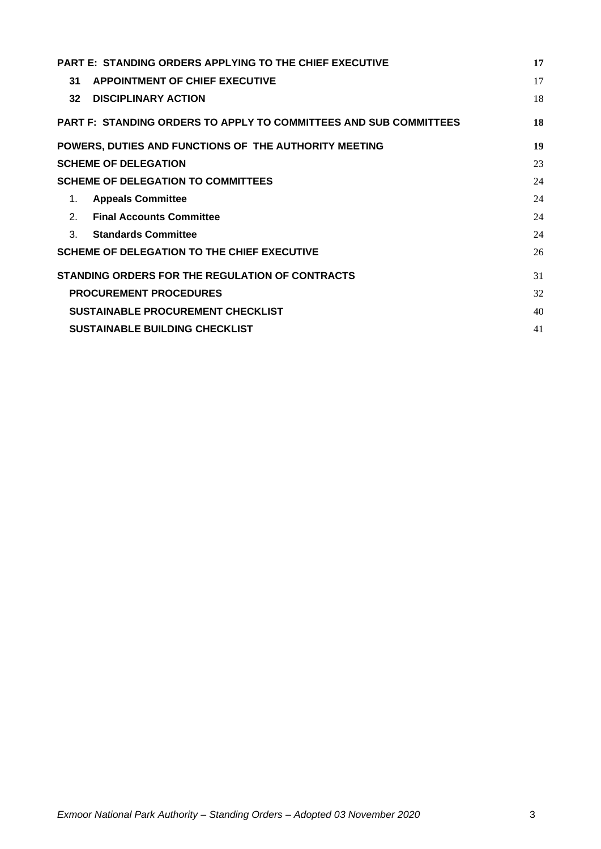| <b>PART E: STANDING ORDERS APPLYING TO THE CHIEF EXECUTIVE</b>           |    |  |
|--------------------------------------------------------------------------|----|--|
| <b>APPOINTMENT OF CHIEF EXECUTIVE</b><br>31                              | 17 |  |
| <b>DISCIPLINARY ACTION</b><br>32 <sub>2</sub>                            | 18 |  |
| <b>PART F: STANDING ORDERS TO APPLY TO COMMITTEES AND SUB COMMITTEES</b> | 18 |  |
| POWERS, DUTIES AND FUNCTIONS OF THE AUTHORITY MEETING                    | 19 |  |
| <b>SCHEME OF DELEGATION</b>                                              |    |  |
| <b>SCHEME OF DELEGATION TO COMMITTEES</b>                                |    |  |
| <b>Appeals Committee</b><br>1.                                           | 24 |  |
| 2 <sub>1</sub><br><b>Final Accounts Committee</b>                        | 24 |  |
| <b>Standards Committee</b><br>$3_{-}$                                    | 24 |  |
| <b>SCHEME OF DELEGATION TO THE CHIEF EXECUTIVE</b>                       |    |  |
| STANDING ORDERS FOR THE REGULATION OF CONTRACTS                          |    |  |
| <b>PROCUREMENT PROCEDURES</b>                                            |    |  |
| <b>SUSTAINABLE PROCUREMENT CHECKLIST</b>                                 | 40 |  |
| <b>SUSTAINABLE BUILDING CHECKLIST</b>                                    | 41 |  |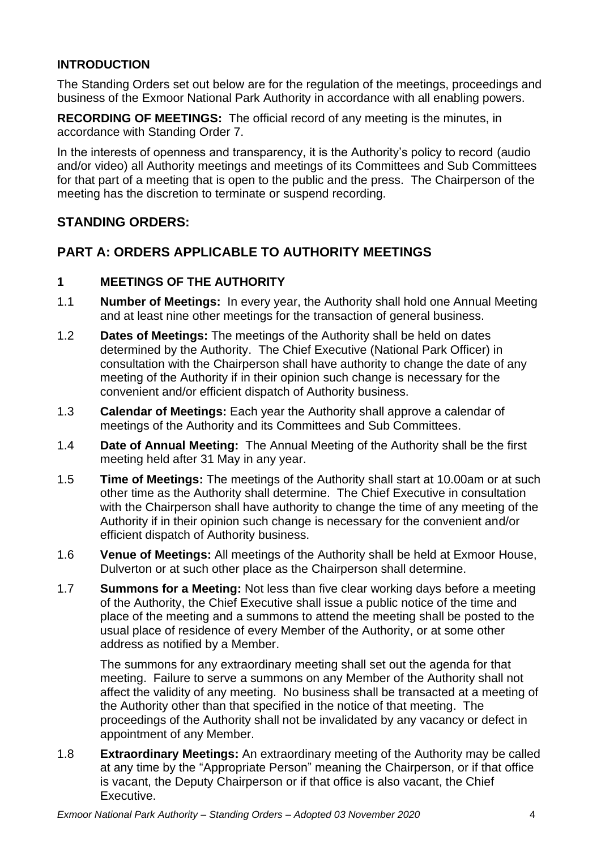# <span id="page-3-0"></span>**INTRODUCTION**

The Standing Orders set out below are for the regulation of the meetings, proceedings and business of the Exmoor National Park Authority in accordance with all enabling powers.

<span id="page-3-1"></span>**RECORDING OF MEETINGS:** The official record of any meeting is the minutes, in accordance with Standing Order 7.

In the interests of openness and transparency, it is the Authority's policy to record (audio and/or video) all Authority meetings and meetings of its Committees and Sub Committees for that part of a meeting that is open to the public and the press. The Chairperson of the meeting has the discretion to terminate or suspend recording.

# <span id="page-3-2"></span>**STANDING ORDERS:**

# <span id="page-3-3"></span>**PART A: ORDERS APPLICABLE TO AUTHORITY MEETINGS**

# <span id="page-3-4"></span>**1 MEETINGS OF THE AUTHORITY**

- 1.1 **Number of Meetings:** In every year, the Authority shall hold one Annual Meeting and at least nine other meetings for the transaction of general business.
- 1.2 **Dates of Meetings:** The meetings of the Authority shall be held on dates determined by the Authority. The Chief Executive (National Park Officer) in consultation with the Chairperson shall have authority to change the date of any meeting of the Authority if in their opinion such change is necessary for the convenient and/or efficient dispatch of Authority business.
- 1.3 **Calendar of Meetings:** Each year the Authority shall approve a calendar of meetings of the Authority and its Committees and Sub Committees.
- 1.4 **Date of Annual Meeting:** The Annual Meeting of the Authority shall be the first meeting held after 31 May in any year.
- 1.5 **Time of Meetings:** The meetings of the Authority shall start at 10.00am or at such other time as the Authority shall determine. The Chief Executive in consultation with the Chairperson shall have authority to change the time of any meeting of the Authority if in their opinion such change is necessary for the convenient and/or efficient dispatch of Authority business.
- 1.6 **Venue of Meetings:** All meetings of the Authority shall be held at Exmoor House, Dulverton or at such other place as the Chairperson shall determine.
- 1.7 **Summons for a Meeting:** Not less than five clear working days before a meeting of the Authority, the Chief Executive shall issue a public notice of the time and place of the meeting and a summons to attend the meeting shall be posted to the usual place of residence of every Member of the Authority, or at some other address as notified by a Member.

The summons for any extraordinary meeting shall set out the agenda for that meeting. Failure to serve a summons on any Member of the Authority shall not affect the validity of any meeting. No business shall be transacted at a meeting of the Authority other than that specified in the notice of that meeting. The proceedings of the Authority shall not be invalidated by any vacancy or defect in appointment of any Member.

1.8 **Extraordinary Meetings:** An extraordinary meeting of the Authority may be called at any time by the "Appropriate Person" meaning the Chairperson, or if that office is vacant, the Deputy Chairperson or if that office is also vacant, the Chief Executive.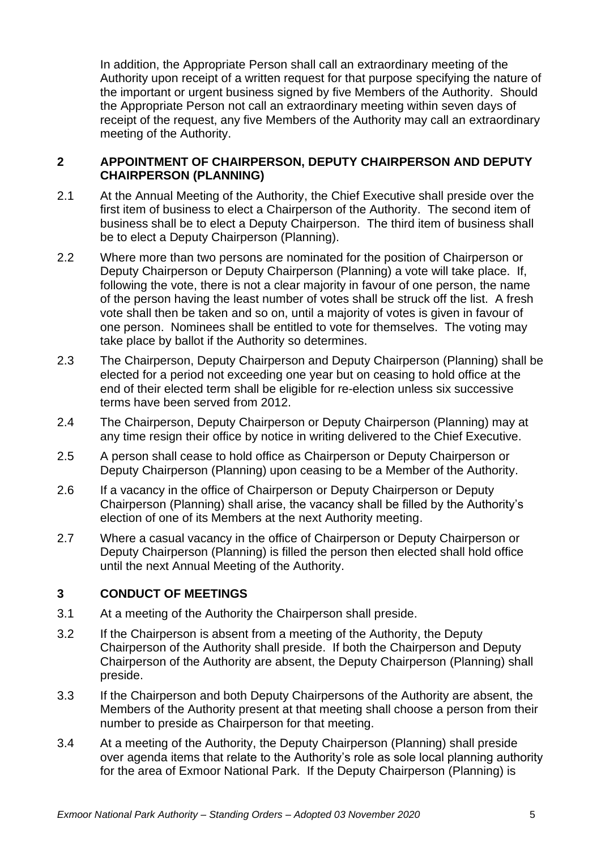In addition, the Appropriate Person shall call an extraordinary meeting of the Authority upon receipt of a written request for that purpose specifying the nature of the important or urgent business signed by five Members of the Authority. Should the Appropriate Person not call an extraordinary meeting within seven days of receipt of the request, any five Members of the Authority may call an extraordinary meeting of the Authority.

#### <span id="page-4-0"></span>**2 APPOINTMENT OF CHAIRPERSON, DEPUTY CHAIRPERSON AND DEPUTY CHAIRPERSON (PLANNING)**

- 2.1 At the Annual Meeting of the Authority, the Chief Executive shall preside over the first item of business to elect a Chairperson of the Authority. The second item of business shall be to elect a Deputy Chairperson. The third item of business shall be to elect a Deputy Chairperson (Planning).
- 2.2 Where more than two persons are nominated for the position of Chairperson or Deputy Chairperson or Deputy Chairperson (Planning) a vote will take place. If, following the vote, there is not a clear majority in favour of one person, the name of the person having the least number of votes shall be struck off the list. A fresh vote shall then be taken and so on, until a majority of votes is given in favour of one person. Nominees shall be entitled to vote for themselves. The voting may take place by ballot if the Authority so determines.
- 2.3 The Chairperson, Deputy Chairperson and Deputy Chairperson (Planning) shall be elected for a period not exceeding one year but on ceasing to hold office at the end of their elected term shall be eligible for re-election unless six successive terms have been served from 2012.
- 2.4 The Chairperson, Deputy Chairperson or Deputy Chairperson (Planning) may at any time resign their office by notice in writing delivered to the Chief Executive.
- 2.5 A person shall cease to hold office as Chairperson or Deputy Chairperson or Deputy Chairperson (Planning) upon ceasing to be a Member of the Authority.
- 2.6 If a vacancy in the office of Chairperson or Deputy Chairperson or Deputy Chairperson (Planning) shall arise, the vacancy shall be filled by the Authority's election of one of its Members at the next Authority meeting.
- 2.7 Where a casual vacancy in the office of Chairperson or Deputy Chairperson or Deputy Chairperson (Planning) is filled the person then elected shall hold office until the next Annual Meeting of the Authority.

# <span id="page-4-1"></span>**3 CONDUCT OF MEETINGS**

- 3.1 At a meeting of the Authority the Chairperson shall preside.
- 3.2 If the Chairperson is absent from a meeting of the Authority, the Deputy Chairperson of the Authority shall preside. If both the Chairperson and Deputy Chairperson of the Authority are absent, the Deputy Chairperson (Planning) shall preside.
- 3.3 If the Chairperson and both Deputy Chairpersons of the Authority are absent, the Members of the Authority present at that meeting shall choose a person from their number to preside as Chairperson for that meeting.
- 3.4 At a meeting of the Authority, the Deputy Chairperson (Planning) shall preside over agenda items that relate to the Authority's role as sole local planning authority for the area of Exmoor National Park. If the Deputy Chairperson (Planning) is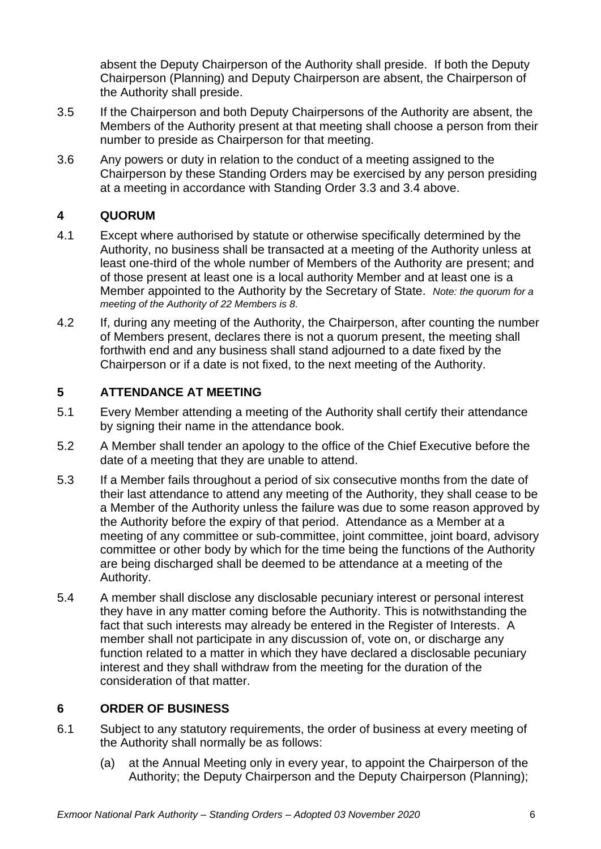absent the Deputy Chairperson of the Authority shall preside. If both the Deputy Chairperson (Planning) and Deputy Chairperson are absent, the Chairperson of the Authority shall preside.

- 3.5 If the Chairperson and both Deputy Chairpersons of the Authority are absent, the Members of the Authority present at that meeting shall choose a person from their number to preside as Chairperson for that meeting.
- 3.6 Any powers or duty in relation to the conduct of a meeting assigned to the Chairperson by these Standing Orders may be exercised by any person presiding at a meeting in accordance with Standing Order 3.3 and 3.4 above.

# <span id="page-5-0"></span>**4 QUORUM**

- 4.1 Except where authorised by statute or otherwise specifically determined by the Authority, no business shall be transacted at a meeting of the Authority unless at least one-third of the whole number of Members of the Authority are present; and of those present at least one is a local authority Member and at least one is a Member appointed to the Authority by the Secretary of State. *Note: the quorum for a meeting of the Authority of 22 Members is 8.*
- 4.2 If, during any meeting of the Authority, the Chairperson, after counting the number of Members present, declares there is not a quorum present, the meeting shall forthwith end and any business shall stand adjourned to a date fixed by the Chairperson or if a date is not fixed, to the next meeting of the Authority.

# <span id="page-5-1"></span>**5 ATTENDANCE AT MEETING**

- 5.1 Every Member attending a meeting of the Authority shall certify their attendance by signing their name in the attendance book.
- 5.2 A Member shall tender an apology to the office of the Chief Executive before the date of a meeting that they are unable to attend.
- 5.3 If a Member fails throughout a period of six consecutive months from the date of their last attendance to attend any meeting of the Authority, they shall cease to be a Member of the Authority unless the failure was due to some reason approved by the Authority before the expiry of that period. Attendance as a Member at a meeting of any committee or sub-committee, joint committee, joint board, advisory committee or other body by which for the time being the functions of the Authority are being discharged shall be deemed to be attendance at a meeting of the Authority.
- 5.4 A member shall disclose any disclosable pecuniary interest or personal interest they have in any matter coming before the Authority. This is notwithstanding the fact that such interests may already be entered in the Register of Interests. A member shall not participate in any discussion of, vote on, or discharge any function related to a matter in which they have declared a disclosable pecuniary interest and they shall withdraw from the meeting for the duration of the consideration of that matter.

# <span id="page-5-2"></span>**6 ORDER OF BUSINESS**

- 6.1 Subject to any statutory requirements, the order of business at every meeting of the Authority shall normally be as follows:
	- (a) at the Annual Meeting only in every year, to appoint the Chairperson of the Authority; the Deputy Chairperson and the Deputy Chairperson (Planning);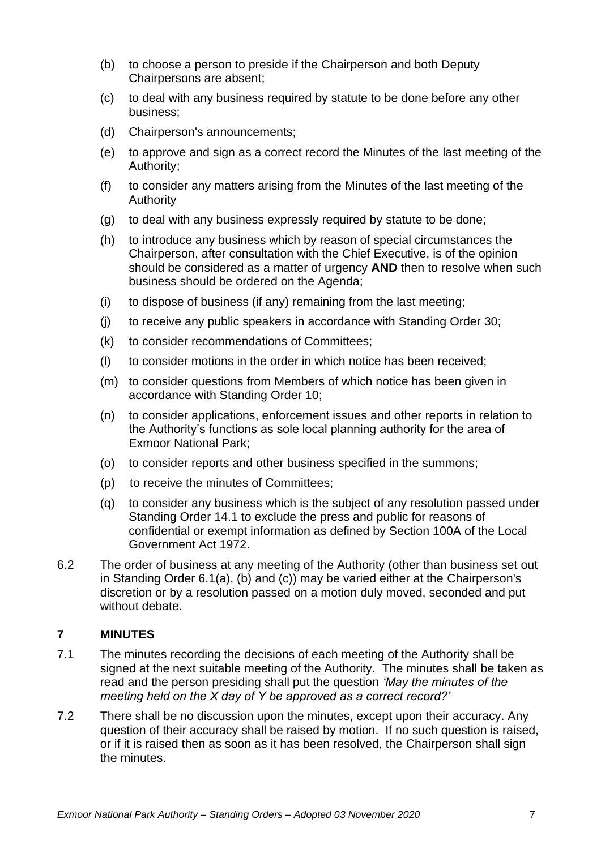- (b) to choose a person to preside if the Chairperson and both Deputy Chairpersons are absent;
- (c) to deal with any business required by statute to be done before any other business;
- (d) Chairperson's announcements;
- (e) to approve and sign as a correct record the Minutes of the last meeting of the Authority;
- (f) to consider any matters arising from the Minutes of the last meeting of the Authority
- (g) to deal with any business expressly required by statute to be done;
- (h) to introduce any business which by reason of special circumstances the Chairperson, after consultation with the Chief Executive, is of the opinion should be considered as a matter of urgency **AND** then to resolve when such business should be ordered on the Agenda;
- (i) to dispose of business (if any) remaining from the last meeting;
- (j) to receive any public speakers in accordance with Standing Order 30;
- (k) to consider recommendations of Committees;
- (l) to consider motions in the order in which notice has been received;
- (m) to consider questions from Members of which notice has been given in accordance with Standing Order 10;
- (n) to consider applications, enforcement issues and other reports in relation to the Authority's functions as sole local planning authority for the area of Exmoor National Park;
- (o) to consider reports and other business specified in the summons;
- (p) to receive the minutes of Committees;
- (q) to consider any business which is the subject of any resolution passed under Standing Order 14.1 to exclude the press and public for reasons of confidential or exempt information as defined by Section 100A of the Local Government Act 1972.
- 6.2 The order of business at any meeting of the Authority (other than business set out in Standing Order 6.1(a), (b) and (c)) may be varied either at the Chairperson's discretion or by a resolution passed on a motion duly moved, seconded and put without debate.

# <span id="page-6-0"></span>**7 MINUTES**

- 7.1 The minutes recording the decisions of each meeting of the Authority shall be signed at the next suitable meeting of the Authority. The minutes shall be taken as read and the person presiding shall put the question *'May the minutes of the meeting held on the X day of Y be approved as a correct record?'*
- 7.2 There shall be no discussion upon the minutes, except upon their accuracy. Any question of their accuracy shall be raised by motion. If no such question is raised, or if it is raised then as soon as it has been resolved, the Chairperson shall sign the minutes.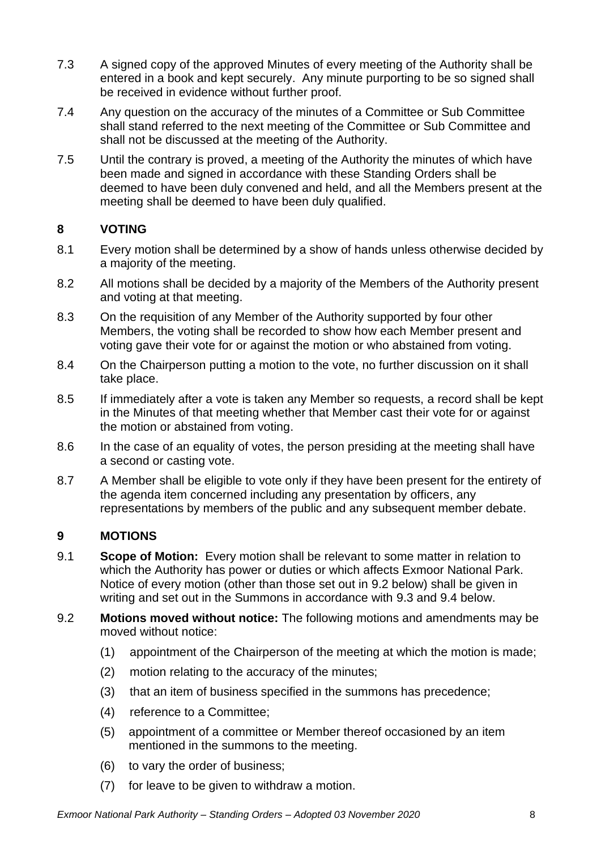- 7.3 A signed copy of the approved Minutes of every meeting of the Authority shall be entered in a book and kept securely. Any minute purporting to be so signed shall be received in evidence without further proof.
- 7.4 Any question on the accuracy of the minutes of a Committee or Sub Committee shall stand referred to the next meeting of the Committee or Sub Committee and shall not be discussed at the meeting of the Authority.
- 7.5 Until the contrary is proved, a meeting of the Authority the minutes of which have been made and signed in accordance with these Standing Orders shall be deemed to have been duly convened and held, and all the Members present at the meeting shall be deemed to have been duly qualified.

# <span id="page-7-0"></span>**8 VOTING**

- 8.1 Every motion shall be determined by a show of hands unless otherwise decided by a majority of the meeting.
- 8.2 All motions shall be decided by a majority of the Members of the Authority present and voting at that meeting.
- 8.3 On the requisition of any Member of the Authority supported by four other Members, the voting shall be recorded to show how each Member present and voting gave their vote for or against the motion or who abstained from voting.
- 8.4 On the Chairperson putting a motion to the vote, no further discussion on it shall take place.
- 8.5 If immediately after a vote is taken any Member so requests, a record shall be kept in the Minutes of that meeting whether that Member cast their vote for or against the motion or abstained from voting.
- 8.6 In the case of an equality of votes, the person presiding at the meeting shall have a second or casting vote.
- 8.7 A Member shall be eligible to vote only if they have been present for the entirety of the agenda item concerned including any presentation by officers, any representations by members of the public and any subsequent member debate.

# <span id="page-7-1"></span>**9 MOTIONS**

- 9.1 **Scope of Motion:** Every motion shall be relevant to some matter in relation to which the Authority has power or duties or which affects Exmoor National Park. Notice of every motion (other than those set out in 9.2 below) shall be given in writing and set out in the Summons in accordance with 9.3 and 9.4 below.
- 9.2 **Motions moved without notice:** The following motions and amendments may be moved without notice:
	- (1) appointment of the Chairperson of the meeting at which the motion is made;
	- (2) motion relating to the accuracy of the minutes;
	- (3) that an item of business specified in the summons has precedence;
	- (4) reference to a Committee;
	- (5) appointment of a committee or Member thereof occasioned by an item mentioned in the summons to the meeting.
	- (6) to vary the order of business;
	- (7) for leave to be given to withdraw a motion.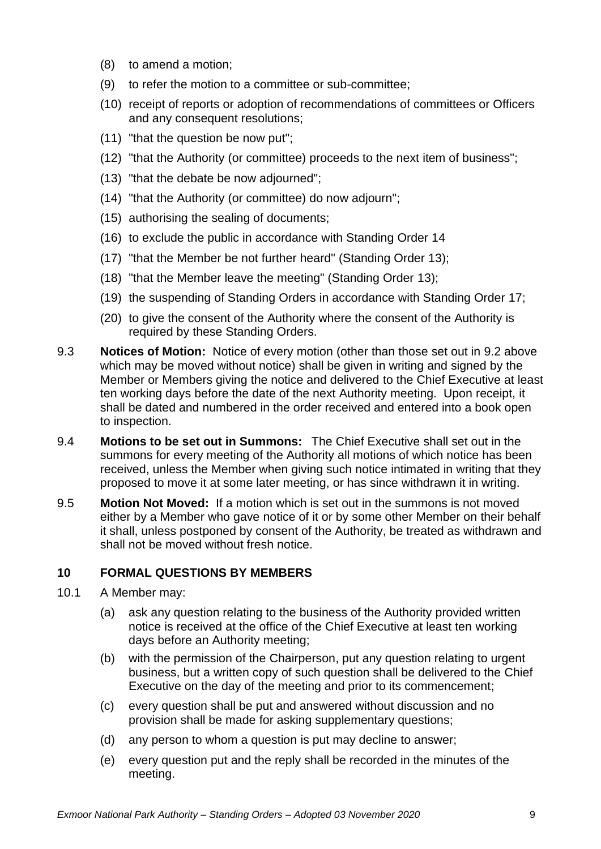- (8) to amend a motion;
- (9) to refer the motion to a committee or sub-committee;
- (10) receipt of reports or adoption of recommendations of committees or Officers and any consequent resolutions;
- (11) "that the question be now put";
- (12) "that the Authority (or committee) proceeds to the next item of business";
- (13) "that the debate be now adjourned";
- (14) "that the Authority (or committee) do now adjourn";
- (15) authorising the sealing of documents;
- (16) to exclude the public in accordance with Standing Order 14
- (17) "that the Member be not further heard" (Standing Order 13);
- (18) "that the Member leave the meeting" (Standing Order 13);
- (19) the suspending of Standing Orders in accordance with Standing Order 17;
- (20) to give the consent of the Authority where the consent of the Authority is required by these Standing Orders.
- 9.3 **Notices of Motion:** Notice of every motion (other than those set out in 9.2 above which may be moved without notice) shall be given in writing and signed by the Member or Members giving the notice and delivered to the Chief Executive at least ten working days before the date of the next Authority meeting. Upon receipt, it shall be dated and numbered in the order received and entered into a book open to inspection.
- 9.4 **Motions to be set out in Summons:** The Chief Executive shall set out in the summons for every meeting of the Authority all motions of which notice has been received, unless the Member when giving such notice intimated in writing that they proposed to move it at some later meeting, or has since withdrawn it in writing.
- 9.5 **Motion Not Moved:** If a motion which is set out in the summons is not moved either by a Member who gave notice of it or by some other Member on their behalf it shall, unless postponed by consent of the Authority, be treated as withdrawn and shall not be moved without fresh notice.

#### <span id="page-8-0"></span>**10 FORMAL QUESTIONS BY MEMBERS**

- 10.1 A Member may:
	- (a) ask any question relating to the business of the Authority provided written notice is received at the office of the Chief Executive at least ten working days before an Authority meeting;
	- (b) with the permission of the Chairperson, put any question relating to urgent business, but a written copy of such question shall be delivered to the Chief Executive on the day of the meeting and prior to its commencement;
	- (c) every question shall be put and answered without discussion and no provision shall be made for asking supplementary questions;
	- (d) any person to whom a question is put may decline to answer;
	- (e) every question put and the reply shall be recorded in the minutes of the meeting.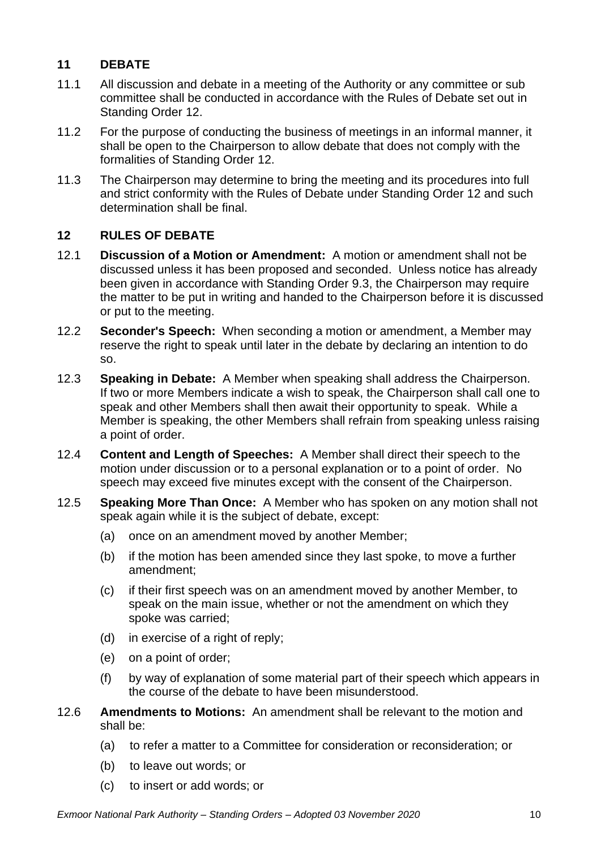# <span id="page-9-0"></span>**11 DEBATE**

- 11.1 All discussion and debate in a meeting of the Authority or any committee or sub committee shall be conducted in accordance with the Rules of Debate set out in Standing Order 12.
- 11.2 For the purpose of conducting the business of meetings in an informal manner, it shall be open to the Chairperson to allow debate that does not comply with the formalities of Standing Order 12.
- 11.3 The Chairperson may determine to bring the meeting and its procedures into full and strict conformity with the Rules of Debate under Standing Order 12 and such determination shall be final.

# <span id="page-9-1"></span>**12 RULES OF DEBATE**

- 12.1 **Discussion of a Motion or Amendment:** A motion or amendment shall not be discussed unless it has been proposed and seconded. Unless notice has already been given in accordance with Standing Order 9.3, the Chairperson may require the matter to be put in writing and handed to the Chairperson before it is discussed or put to the meeting.
- 12.2 **Seconder's Speech:** When seconding a motion or amendment, a Member may reserve the right to speak until later in the debate by declaring an intention to do so.
- 12.3 **Speaking in Debate:** A Member when speaking shall address the Chairperson. If two or more Members indicate a wish to speak, the Chairperson shall call one to speak and other Members shall then await their opportunity to speak. While a Member is speaking, the other Members shall refrain from speaking unless raising a point of order.
- 12.4 **Content and Length of Speeches:** A Member shall direct their speech to the motion under discussion or to a personal explanation or to a point of order. No speech may exceed five minutes except with the consent of the Chairperson.
- 12.5 **Speaking More Than Once:** A Member who has spoken on any motion shall not speak again while it is the subject of debate, except:
	- (a) once on an amendment moved by another Member;
	- (b) if the motion has been amended since they last spoke, to move a further amendment;
	- (c) if their first speech was on an amendment moved by another Member, to speak on the main issue, whether or not the amendment on which they spoke was carried;
	- (d) in exercise of a right of reply:
	- (e) on a point of order;
	- (f) by way of explanation of some material part of their speech which appears in the course of the debate to have been misunderstood.
- 12.6 **Amendments to Motions:** An amendment shall be relevant to the motion and shall be:
	- (a) to refer a matter to a Committee for consideration or reconsideration; or
	- (b) to leave out words; or
	- (c) to insert or add words; or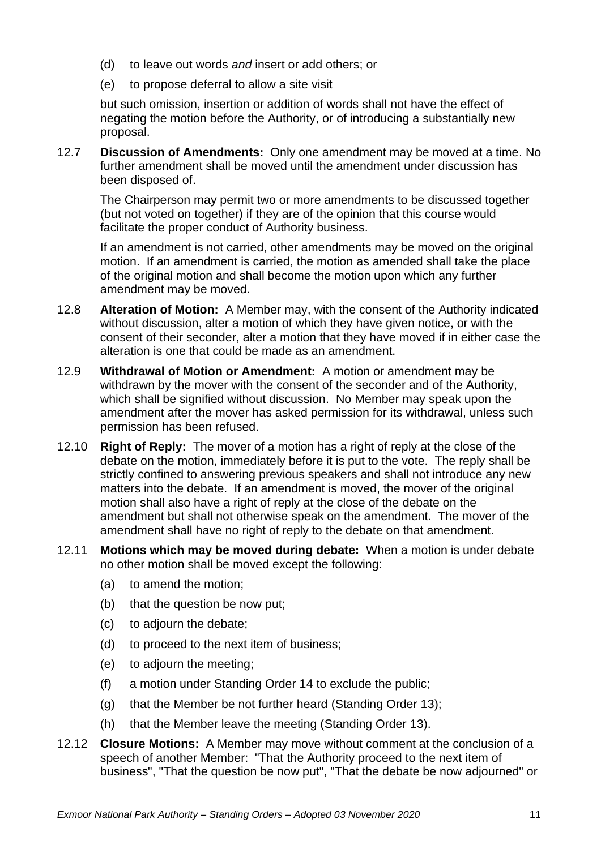- (d) to leave out words *and* insert or add others; or
- (e) to propose deferral to allow a site visit

but such omission, insertion or addition of words shall not have the effect of negating the motion before the Authority, or of introducing a substantially new proposal.

12.7 **Discussion of Amendments:** Only one amendment may be moved at a time. No further amendment shall be moved until the amendment under discussion has been disposed of.

The Chairperson may permit two or more amendments to be discussed together (but not voted on together) if they are of the opinion that this course would facilitate the proper conduct of Authority business.

If an amendment is not carried, other amendments may be moved on the original motion. If an amendment is carried, the motion as amended shall take the place of the original motion and shall become the motion upon which any further amendment may be moved.

- 12.8 **Alteration of Motion:** A Member may, with the consent of the Authority indicated without discussion, alter a motion of which they have given notice, or with the consent of their seconder, alter a motion that they have moved if in either case the alteration is one that could be made as an amendment.
- 12.9 **Withdrawal of Motion or Amendment:** A motion or amendment may be withdrawn by the mover with the consent of the seconder and of the Authority, which shall be signified without discussion. No Member may speak upon the amendment after the mover has asked permission for its withdrawal, unless such permission has been refused.
- 12.10 **Right of Reply:** The mover of a motion has a right of reply at the close of the debate on the motion, immediately before it is put to the vote. The reply shall be strictly confined to answering previous speakers and shall not introduce any new matters into the debate. If an amendment is moved, the mover of the original motion shall also have a right of reply at the close of the debate on the amendment but shall not otherwise speak on the amendment. The mover of the amendment shall have no right of reply to the debate on that amendment.
- 12.11 **Motions which may be moved during debate:** When a motion is under debate no other motion shall be moved except the following:
	- (a) to amend the motion;
	- (b) that the question be now put;
	- (c) to adjourn the debate;
	- (d) to proceed to the next item of business;
	- (e) to adjourn the meeting;
	- (f) a motion under Standing Order 14 to exclude the public;
	- (g) that the Member be not further heard (Standing Order 13);
	- (h) that the Member leave the meeting (Standing Order 13).
- 12.12 **Closure Motions:** A Member may move without comment at the conclusion of a speech of another Member: "That the Authority proceed to the next item of business", "That the question be now put", "That the debate be now adjourned" or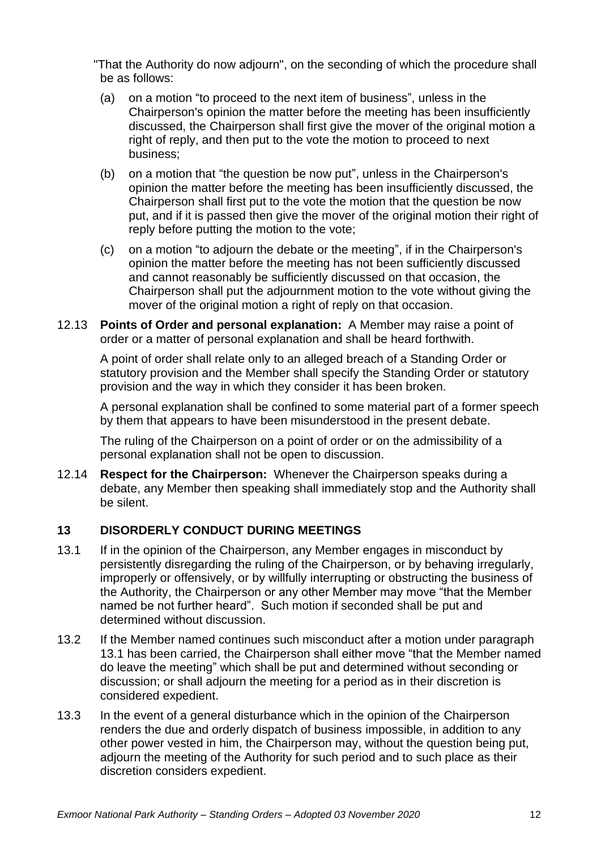"That the Authority do now adjourn", on the seconding of which the procedure shall be as follows:

- (a) on a motion "to proceed to the next item of business", unless in the Chairperson's opinion the matter before the meeting has been insufficiently discussed, the Chairperson shall first give the mover of the original motion a right of reply, and then put to the vote the motion to proceed to next business;
- (b) on a motion that "the question be now put", unless in the Chairperson's opinion the matter before the meeting has been insufficiently discussed, the Chairperson shall first put to the vote the motion that the question be now put, and if it is passed then give the mover of the original motion their right of reply before putting the motion to the vote;
- (c) on a motion "to adjourn the debate or the meeting", if in the Chairperson's opinion the matter before the meeting has not been sufficiently discussed and cannot reasonably be sufficiently discussed on that occasion, the Chairperson shall put the adjournment motion to the vote without giving the mover of the original motion a right of reply on that occasion.
- 12.13 **Points of Order and personal explanation:** A Member may raise a point of order or a matter of personal explanation and shall be heard forthwith.

A point of order shall relate only to an alleged breach of a Standing Order or statutory provision and the Member shall specify the Standing Order or statutory provision and the way in which they consider it has been broken.

A personal explanation shall be confined to some material part of a former speech by them that appears to have been misunderstood in the present debate.

The ruling of the Chairperson on a point of order or on the admissibility of a personal explanation shall not be open to discussion.

12.14 **Respect for the Chairperson:** Whenever the Chairperson speaks during a debate, any Member then speaking shall immediately stop and the Authority shall be silent.

# <span id="page-11-0"></span>**13 DISORDERLY CONDUCT DURING MEETINGS**

- 13.1 If in the opinion of the Chairperson, any Member engages in misconduct by persistently disregarding the ruling of the Chairperson, or by behaving irregularly, improperly or offensively, or by willfully interrupting or obstructing the business of the Authority, the Chairperson or any other Member may move "that the Member named be not further heard". Such motion if seconded shall be put and determined without discussion.
- 13.2 If the Member named continues such misconduct after a motion under paragraph 13.1 has been carried, the Chairperson shall either move "that the Member named do leave the meeting" which shall be put and determined without seconding or discussion; or shall adjourn the meeting for a period as in their discretion is considered expedient.
- 13.3 In the event of a general disturbance which in the opinion of the Chairperson renders the due and orderly dispatch of business impossible, in addition to any other power vested in him, the Chairperson may, without the question being put, adjourn the meeting of the Authority for such period and to such place as their discretion considers expedient.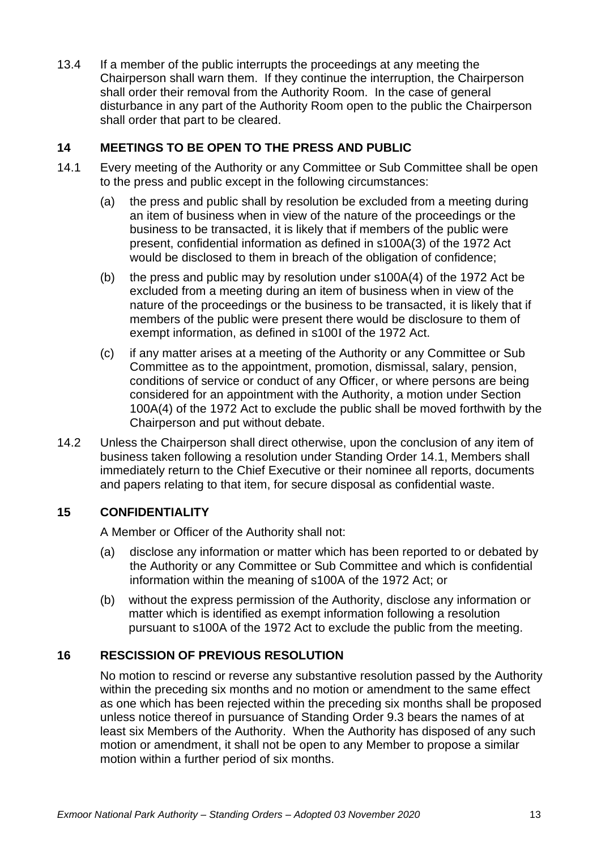13.4 If a member of the public interrupts the proceedings at any meeting the Chairperson shall warn them. If they continue the interruption, the Chairperson shall order their removal from the Authority Room. In the case of general disturbance in any part of the Authority Room open to the public the Chairperson shall order that part to be cleared.

# <span id="page-12-0"></span>**14 MEETINGS TO BE OPEN TO THE PRESS AND PUBLIC**

- 14.1 Every meeting of the Authority or any Committee or Sub Committee shall be open to the press and public except in the following circumstances:
	- (a) the press and public shall by resolution be excluded from a meeting during an item of business when in view of the nature of the proceedings or the business to be transacted, it is likely that if members of the public were present, confidential information as defined in s100A(3) of the 1972 Act would be disclosed to them in breach of the obligation of confidence;
	- (b) the press and public may by resolution under s100A(4) of the 1972 Act be excluded from a meeting during an item of business when in view of the nature of the proceedings or the business to be transacted, it is likely that if members of the public were present there would be disclosure to them of exempt information, as defined in s100Ι of the 1972 Act.
	- (c) if any matter arises at a meeting of the Authority or any Committee or Sub Committee as to the appointment, promotion, dismissal, salary, pension, conditions of service or conduct of any Officer, or where persons are being considered for an appointment with the Authority, a motion under Section 100A(4) of the 1972 Act to exclude the public shall be moved forthwith by the Chairperson and put without debate.
- 14.2 Unless the Chairperson shall direct otherwise, upon the conclusion of any item of business taken following a resolution under Standing Order 14.1, Members shall immediately return to the Chief Executive or their nominee all reports, documents and papers relating to that item, for secure disposal as confidential waste.

# <span id="page-12-1"></span>**15 CONFIDENTIALITY**

A Member or Officer of the Authority shall not:

- (a) disclose any information or matter which has been reported to or debated by the Authority or any Committee or Sub Committee and which is confidential information within the meaning of s100A of the 1972 Act; or
- (b) without the express permission of the Authority, disclose any information or matter which is identified as exempt information following a resolution pursuant to s100A of the 1972 Act to exclude the public from the meeting.

# <span id="page-12-2"></span>**16 RESCISSION OF PREVIOUS RESOLUTION**

No motion to rescind or reverse any substantive resolution passed by the Authority within the preceding six months and no motion or amendment to the same effect as one which has been rejected within the preceding six months shall be proposed unless notice thereof in pursuance of Standing Order 9.3 bears the names of at least six Members of the Authority. When the Authority has disposed of any such motion or amendment, it shall not be open to any Member to propose a similar motion within a further period of six months.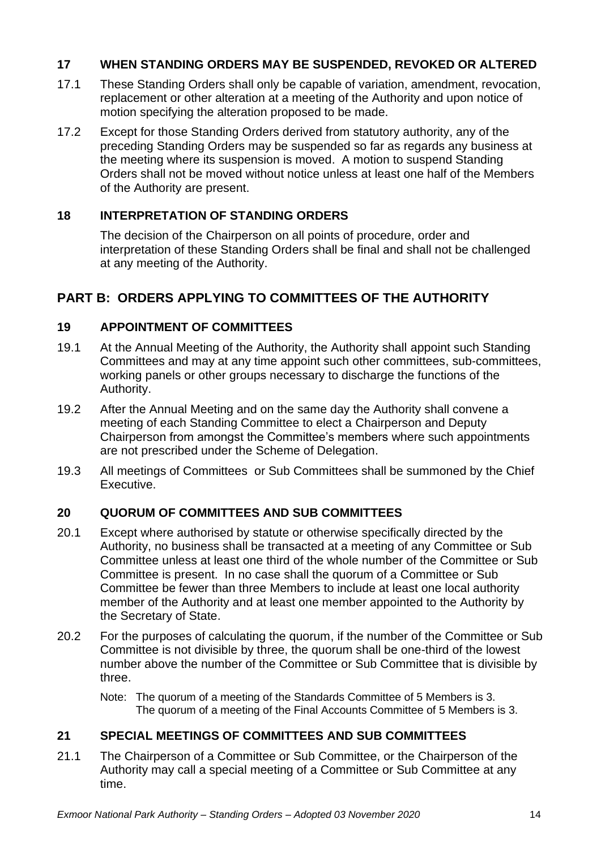# <span id="page-13-0"></span>**17 WHEN STANDING ORDERS MAY BE SUSPENDED, REVOKED OR ALTERED**

- 17.1 These Standing Orders shall only be capable of variation, amendment, revocation, replacement or other alteration at a meeting of the Authority and upon notice of motion specifying the alteration proposed to be made.
- 17.2 Except for those Standing Orders derived from statutory authority, any of the preceding Standing Orders may be suspended so far as regards any business at the meeting where its suspension is moved. A motion to suspend Standing Orders shall not be moved without notice unless at least one half of the Members of the Authority are present.

# <span id="page-13-1"></span>**18 INTERPRETATION OF STANDING ORDERS**

The decision of the Chairperson on all points of procedure, order and interpretation of these Standing Orders shall be final and shall not be challenged at any meeting of the Authority.

# <span id="page-13-2"></span>**PART B: ORDERS APPLYING TO COMMITTEES OF THE AUTHORITY**

# <span id="page-13-3"></span>**19 APPOINTMENT OF COMMITTEES**

- 19.1 At the Annual Meeting of the Authority, the Authority shall appoint such Standing Committees and may at any time appoint such other committees, sub-committees, working panels or other groups necessary to discharge the functions of the Authority.
- 19.2 After the Annual Meeting and on the same day the Authority shall convene a meeting of each Standing Committee to elect a Chairperson and Deputy Chairperson from amongst the Committee's members where such appointments are not prescribed under the Scheme of Delegation.
- 19.3 All meetings of Committees or Sub Committees shall be summoned by the Chief Executive.

# <span id="page-13-4"></span>**20 QUORUM OF COMMITTEES AND SUB COMMITTEES**

- 20.1 Except where authorised by statute or otherwise specifically directed by the Authority, no business shall be transacted at a meeting of any Committee or Sub Committee unless at least one third of the whole number of the Committee or Sub Committee is present. In no case shall the quorum of a Committee or Sub Committee be fewer than three Members to include at least one local authority member of the Authority and at least one member appointed to the Authority by the Secretary of State.
- 20.2 For the purposes of calculating the quorum, if the number of the Committee or Sub Committee is not divisible by three, the quorum shall be one-third of the lowest number above the number of the Committee or Sub Committee that is divisible by three.

<span id="page-13-5"></span>Note: The quorum of a meeting of the Standards Committee of 5 Members is 3. The quorum of a meeting of the Final Accounts Committee of 5 Members is 3.

# **21 SPECIAL MEETINGS OF COMMITTEES AND SUB COMMITTEES**

21.1 The Chairperson of a Committee or Sub Committee, or the Chairperson of the Authority may call a special meeting of a Committee or Sub Committee at any time.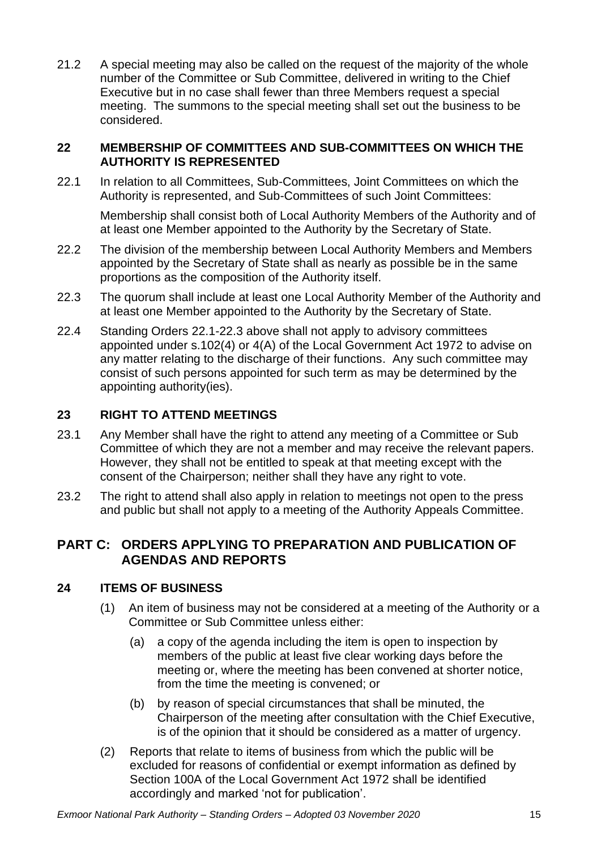21.2 A special meeting may also be called on the request of the majority of the whole number of the Committee or Sub Committee, delivered in writing to the Chief Executive but in no case shall fewer than three Members request a special meeting. The summons to the special meeting shall set out the business to be considered.

#### <span id="page-14-0"></span>**22 MEMBERSHIP OF COMMITTEES AND SUB-COMMITTEES ON WHICH THE AUTHORITY IS REPRESENTED**

22.1 In relation to all Committees, Sub-Committees, Joint Committees on which the Authority is represented, and Sub-Committees of such Joint Committees:

Membership shall consist both of Local Authority Members of the Authority and of at least one Member appointed to the Authority by the Secretary of State.

- 22.2 The division of the membership between Local Authority Members and Members appointed by the Secretary of State shall as nearly as possible be in the same proportions as the composition of the Authority itself.
- 22.3 The quorum shall include at least one Local Authority Member of the Authority and at least one Member appointed to the Authority by the Secretary of State.
- 22.4 Standing Orders 22.1-22.3 above shall not apply to advisory committees appointed under s.102(4) or 4(A) of the Local Government Act 1972 to advise on any matter relating to the discharge of their functions. Any such committee may consist of such persons appointed for such term as may be determined by the appointing authority(ies).

# <span id="page-14-1"></span>**23 RIGHT TO ATTEND MEETINGS**

- 23.1 Any Member shall have the right to attend any meeting of a Committee or Sub Committee of which they are not a member and may receive the relevant papers. However, they shall not be entitled to speak at that meeting except with the consent of the Chairperson; neither shall they have any right to vote.
- 23.2 The right to attend shall also apply in relation to meetings not open to the press and public but shall not apply to a meeting of the Authority Appeals Committee.

# <span id="page-14-2"></span>**PART C: ORDERS APPLYING TO PREPARATION AND PUBLICATION OF AGENDAS AND REPORTS**

#### <span id="page-14-3"></span>**24 ITEMS OF BUSINESS**

- (1) An item of business may not be considered at a meeting of the Authority or a Committee or Sub Committee unless either:
	- (a) a copy of the agenda including the item is open to inspection by members of the public at least five clear working days before the meeting or, where the meeting has been convened at shorter notice, from the time the meeting is convened; or
	- (b) by reason of special circumstances that shall be minuted, the Chairperson of the meeting after consultation with the Chief Executive, is of the opinion that it should be considered as a matter of urgency.
- (2) Reports that relate to items of business from which the public will be excluded for reasons of confidential or exempt information as defined by Section 100A of the Local Government Act 1972 shall be identified accordingly and marked 'not for publication'.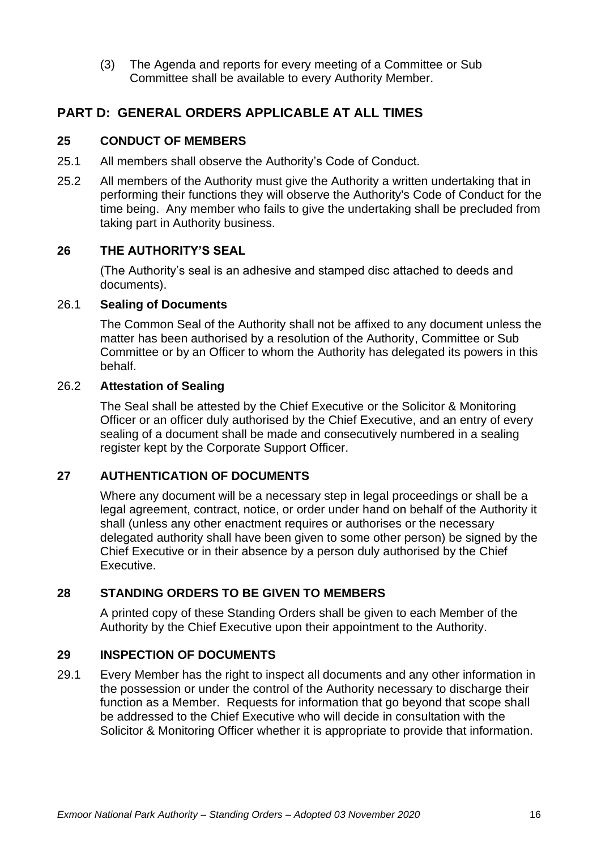(3) The Agenda and reports for every meeting of a Committee or Sub Committee shall be available to every Authority Member.

# <span id="page-15-0"></span>**PART D: GENERAL ORDERS APPLICABLE AT ALL TIMES**

# <span id="page-15-1"></span>**25 CONDUCT OF MEMBERS**

- 25.1 All members shall observe the Authority's Code of Conduct.
- 25.2 All members of the Authority must give the Authority a written undertaking that in performing their functions they will observe the Authority's Code of Conduct for the time being. Any member who fails to give the undertaking shall be precluded from taking part in Authority business.

# <span id="page-15-2"></span>**26 THE AUTHORITY'S SEAL**

(The Authority's seal is an adhesive and stamped disc attached to deeds and documents).

# 26.1 **Sealing of Documents**

The Common Seal of the Authority shall not be affixed to any document unless the matter has been authorised by a resolution of the Authority, Committee or Sub Committee or by an Officer to whom the Authority has delegated its powers in this behalf.

#### 26.2 **Attestation of Sealing**

The Seal shall be attested by the Chief Executive or the Solicitor & Monitoring Officer or an officer duly authorised by the Chief Executive, and an entry of every sealing of a document shall be made and consecutively numbered in a sealing register kept by the Corporate Support Officer.

# <span id="page-15-3"></span>**27 AUTHENTICATION OF DOCUMENTS**

Where any document will be a necessary step in legal proceedings or shall be a legal agreement, contract, notice, or order under hand on behalf of the Authority it shall (unless any other enactment requires or authorises or the necessary delegated authority shall have been given to some other person) be signed by the Chief Executive or in their absence by a person duly authorised by the Chief Executive.

# <span id="page-15-4"></span>**28 STANDING ORDERS TO BE GIVEN TO MEMBERS**

A printed copy of these Standing Orders shall be given to each Member of the Authority by the Chief Executive upon their appointment to the Authority.

# <span id="page-15-5"></span>**29 INSPECTION OF DOCUMENTS**

29.1 Every Member has the right to inspect all documents and any other information in the possession or under the control of the Authority necessary to discharge their function as a Member. Requests for information that go beyond that scope shall be addressed to the Chief Executive who will decide in consultation with the Solicitor & Monitoring Officer whether it is appropriate to provide that information.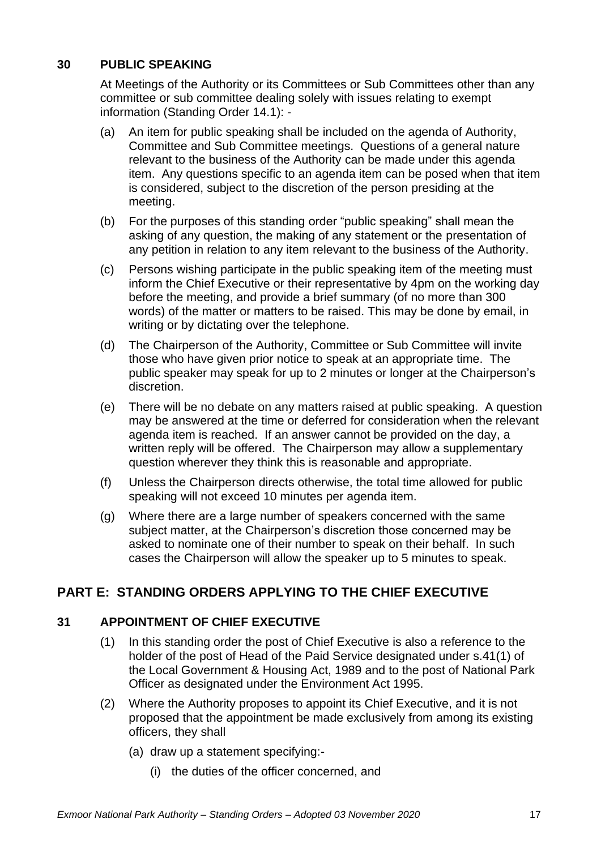# <span id="page-16-0"></span>**30 PUBLIC SPEAKING**

At Meetings of the Authority or its Committees or Sub Committees other than any committee or sub committee dealing solely with issues relating to exempt information (Standing Order 14.1): -

- (a) An item for public speaking shall be included on the agenda of Authority, Committee and Sub Committee meetings. Questions of a general nature relevant to the business of the Authority can be made under this agenda item. Any questions specific to an agenda item can be posed when that item is considered, subject to the discretion of the person presiding at the meeting.
- (b) For the purposes of this standing order "public speaking" shall mean the asking of any question, the making of any statement or the presentation of any petition in relation to any item relevant to the business of the Authority.
- (c) Persons wishing participate in the public speaking item of the meeting must inform the Chief Executive or their representative by 4pm on the working day before the meeting, and provide a brief summary (of no more than 300 words) of the matter or matters to be raised. This may be done by email, in writing or by dictating over the telephone.
- (d) The Chairperson of the Authority, Committee or Sub Committee will invite those who have given prior notice to speak at an appropriate time. The public speaker may speak for up to 2 minutes or longer at the Chairperson's discretion.
- (e) There will be no debate on any matters raised at public speaking. A question may be answered at the time or deferred for consideration when the relevant agenda item is reached. If an answer cannot be provided on the day, a written reply will be offered. The Chairperson may allow a supplementary question wherever they think this is reasonable and appropriate.
- (f) Unless the Chairperson directs otherwise, the total time allowed for public speaking will not exceed 10 minutes per agenda item.
- (g) Where there are a large number of speakers concerned with the same subject matter, at the Chairperson's discretion those concerned may be asked to nominate one of their number to speak on their behalf. In such cases the Chairperson will allow the speaker up to 5 minutes to speak.

# <span id="page-16-1"></span>**PART E: STANDING ORDERS APPLYING TO THE CHIEF EXECUTIVE**

# <span id="page-16-2"></span>**31 APPOINTMENT OF CHIEF EXECUTIVE**

- (1) In this standing order the post of Chief Executive is also a reference to the holder of the post of Head of the Paid Service designated under s.41(1) of the Local Government & Housing Act, 1989 and to the post of National Park Officer as designated under the Environment Act 1995.
- (2) Where the Authority proposes to appoint its Chief Executive, and it is not proposed that the appointment be made exclusively from among its existing officers, they shall
	- (a) draw up a statement specifying:-
		- (i) the duties of the officer concerned, and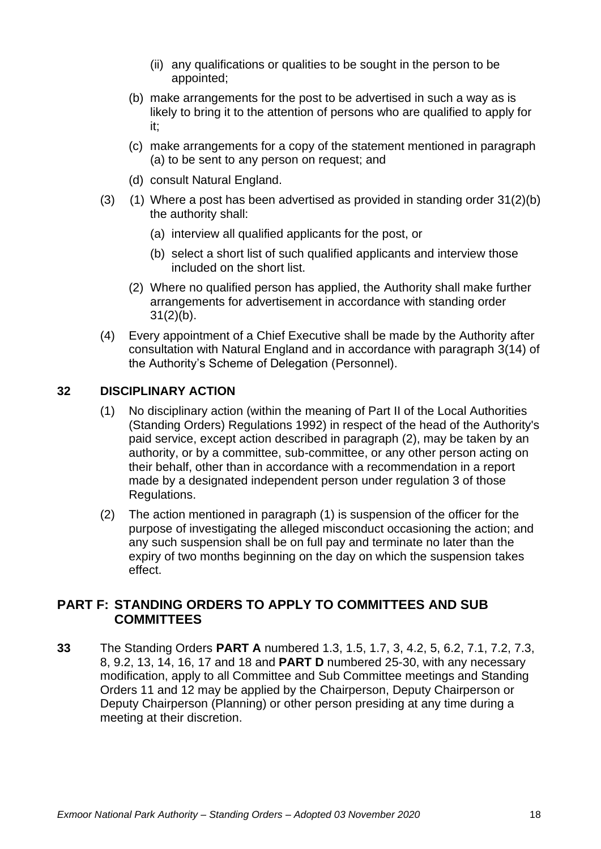- (ii) any qualifications or qualities to be sought in the person to be appointed;
- (b) make arrangements for the post to be advertised in such a way as is likely to bring it to the attention of persons who are qualified to apply for it;
- (c) make arrangements for a copy of the statement mentioned in paragraph (a) to be sent to any person on request; and
- (d) consult Natural England.
- (3) (1) Where a post has been advertised as provided in standing order 31(2)(b) the authority shall:
	- (a) interview all qualified applicants for the post, or
	- (b) select a short list of such qualified applicants and interview those included on the short list.
	- (2) Where no qualified person has applied, the Authority shall make further arrangements for advertisement in accordance with standing order  $31(2)(b)$ .
- (4) Every appointment of a Chief Executive shall be made by the Authority after consultation with Natural England and in accordance with paragraph 3(14) of the Authority's Scheme of Delegation (Personnel).

# <span id="page-17-0"></span>**32 DISCIPLINARY ACTION**

- (1) No disciplinary action (within the meaning of Part II of the Local Authorities (Standing Orders) Regulations 1992) in respect of the head of the Authority's paid service, except action described in paragraph (2), may be taken by an authority, or by a committee, sub-committee, or any other person acting on their behalf, other than in accordance with a recommendation in a report made by a designated independent person under regulation 3 of those Regulations.
- (2) The action mentioned in paragraph (1) is suspension of the officer for the purpose of investigating the alleged misconduct occasioning the action; and any such suspension shall be on full pay and terminate no later than the expiry of two months beginning on the day on which the suspension takes effect.

# <span id="page-17-1"></span>**PART F: STANDING ORDERS TO APPLY TO COMMITTEES AND SUB COMMITTEES**

**33** The Standing Orders **PART A** numbered 1.3, 1.5, 1.7, 3, 4.2, 5, 6.2, 7.1, 7.2, 7.3, 8, 9.2, 13, 14, 16, 17 and 18 and **PART D** numbered 25-30, with any necessary modification, apply to all Committee and Sub Committee meetings and Standing Orders 11 and 12 may be applied by the Chairperson, Deputy Chairperson or Deputy Chairperson (Planning) or other person presiding at any time during a meeting at their discretion.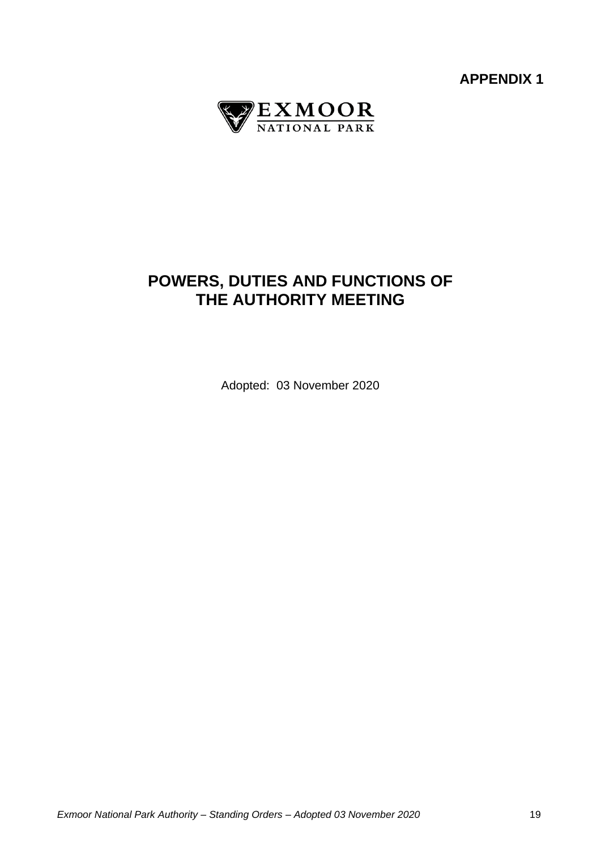**APPENDIX 1**



# <span id="page-18-0"></span>**POWERS, DUTIES AND FUNCTIONS OF THE AUTHORITY MEETING**

Adopted: 03 November 2020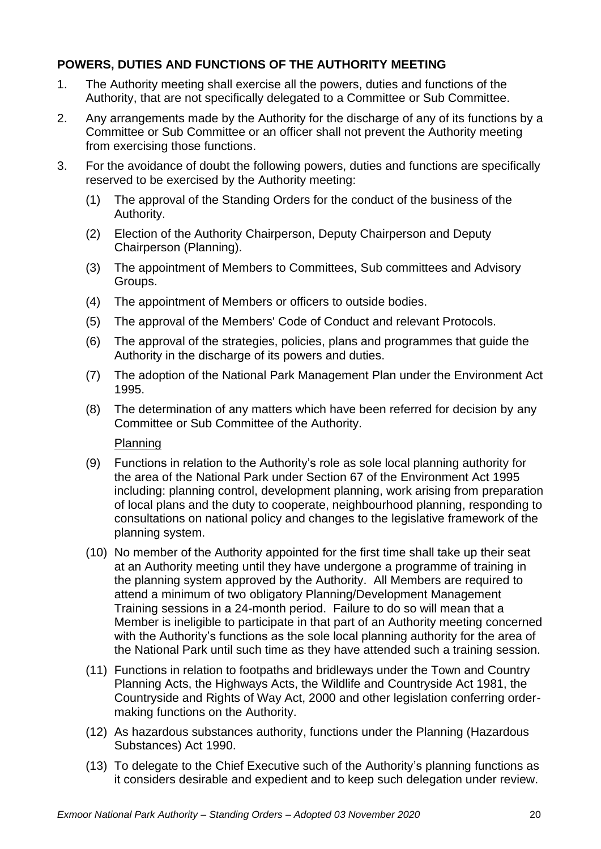# **POWERS, DUTIES AND FUNCTIONS OF THE AUTHORITY MEETING**

- 1. The Authority meeting shall exercise all the powers, duties and functions of the Authority, that are not specifically delegated to a Committee or Sub Committee.
- 2. Any arrangements made by the Authority for the discharge of any of its functions by a Committee or Sub Committee or an officer shall not prevent the Authority meeting from exercising those functions.
- 3. For the avoidance of doubt the following powers, duties and functions are specifically reserved to be exercised by the Authority meeting:
	- (1) The approval of the Standing Orders for the conduct of the business of the Authority.
	- (2) Election of the Authority Chairperson, Deputy Chairperson and Deputy Chairperson (Planning).
	- (3) The appointment of Members to Committees, Sub committees and Advisory Groups.
	- (4) The appointment of Members or officers to outside bodies.
	- (5) The approval of the Members' Code of Conduct and relevant Protocols.
	- (6) The approval of the strategies, policies, plans and programmes that guide the Authority in the discharge of its powers and duties.
	- (7) The adoption of the National Park Management Plan under the Environment Act 1995.
	- (8) The determination of any matters which have been referred for decision by any Committee or Sub Committee of the Authority.

Planning

- (9) Functions in relation to the Authority's role as sole local planning authority for the area of the National Park under Section 67 of the Environment Act 1995 including: planning control, development planning, work arising from preparation of local plans and the duty to cooperate, neighbourhood planning, responding to consultations on national policy and changes to the legislative framework of the planning system.
- (10) No member of the Authority appointed for the first time shall take up their seat at an Authority meeting until they have undergone a programme of training in the planning system approved by the Authority. All Members are required to attend a minimum of two obligatory Planning/Development Management Training sessions in a 24-month period. Failure to do so will mean that a Member is ineligible to participate in that part of an Authority meeting concerned with the Authority's functions as the sole local planning authority for the area of the National Park until such time as they have attended such a training session.
- (11) Functions in relation to footpaths and bridleways under the Town and Country Planning Acts, the Highways Acts, the Wildlife and Countryside Act 1981, the Countryside and Rights of Way Act, 2000 and other legislation conferring ordermaking functions on the Authority.
- (12) As hazardous substances authority, functions under the Planning (Hazardous Substances) Act 1990.
- (13) To delegate to the Chief Executive such of the Authority's planning functions as it considers desirable and expedient and to keep such delegation under review.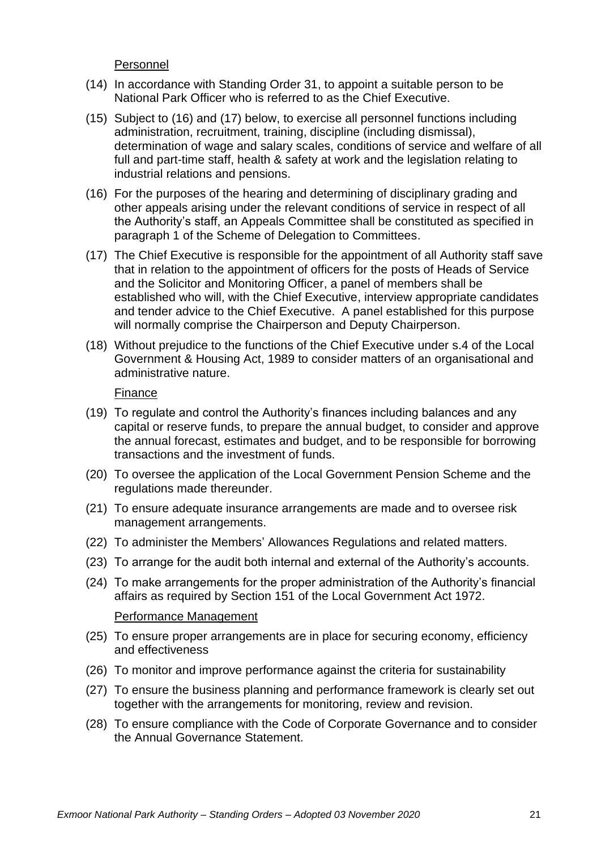Personnel

- (14) In accordance with Standing Order 31, to appoint a suitable person to be National Park Officer who is referred to as the Chief Executive.
- (15) Subject to (16) and (17) below, to exercise all personnel functions including administration, recruitment, training, discipline (including dismissal), determination of wage and salary scales, conditions of service and welfare of all full and part-time staff, health & safety at work and the legislation relating to industrial relations and pensions.
- (16) For the purposes of the hearing and determining of disciplinary grading and other appeals arising under the relevant conditions of service in respect of all the Authority's staff, an Appeals Committee shall be constituted as specified in paragraph 1 of the Scheme of Delegation to Committees.
- (17) The Chief Executive is responsible for the appointment of all Authority staff save that in relation to the appointment of officers for the posts of Heads of Service and the Solicitor and Monitoring Officer, a panel of members shall be established who will, with the Chief Executive, interview appropriate candidates and tender advice to the Chief Executive. A panel established for this purpose will normally comprise the Chairperson and Deputy Chairperson.
- (18) Without prejudice to the functions of the Chief Executive under s.4 of the Local Government & Housing Act, 1989 to consider matters of an organisational and administrative nature.

#### Finance

- (19) To regulate and control the Authority's finances including balances and any capital or reserve funds, to prepare the annual budget, to consider and approve the annual forecast, estimates and budget, and to be responsible for borrowing transactions and the investment of funds.
- (20) To oversee the application of the Local Government Pension Scheme and the regulations made thereunder.
- (21) To ensure adequate insurance arrangements are made and to oversee risk management arrangements.
- (22) To administer the Members' Allowances Regulations and related matters.
- (23) To arrange for the audit both internal and external of the Authority's accounts.
- (24) To make arrangements for the proper administration of the Authority's financial affairs as required by Section 151 of the Local Government Act 1972.

#### Performance Management

- (25) To ensure proper arrangements are in place for securing economy, efficiency and effectiveness
- (26) To monitor and improve performance against the criteria for sustainability
- (27) To ensure the business planning and performance framework is clearly set out together with the arrangements for monitoring, review and revision.
- (28) To ensure compliance with the Code of Corporate Governance and to consider the Annual Governance Statement.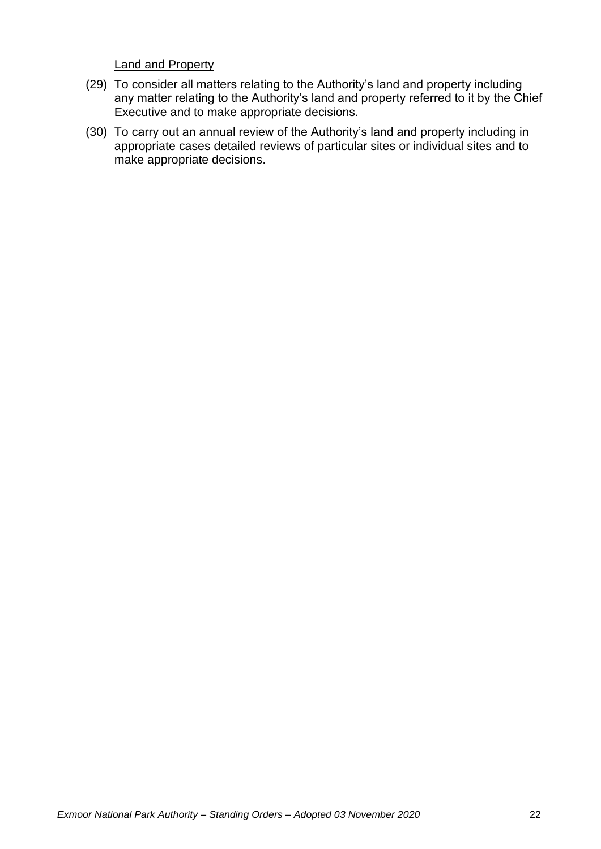Land and Property

- (29) To consider all matters relating to the Authority's land and property including any matter relating to the Authority's land and property referred to it by the Chief Executive and to make appropriate decisions.
- (30) To carry out an annual review of the Authority's land and property including in appropriate cases detailed reviews of particular sites or individual sites and to make appropriate decisions.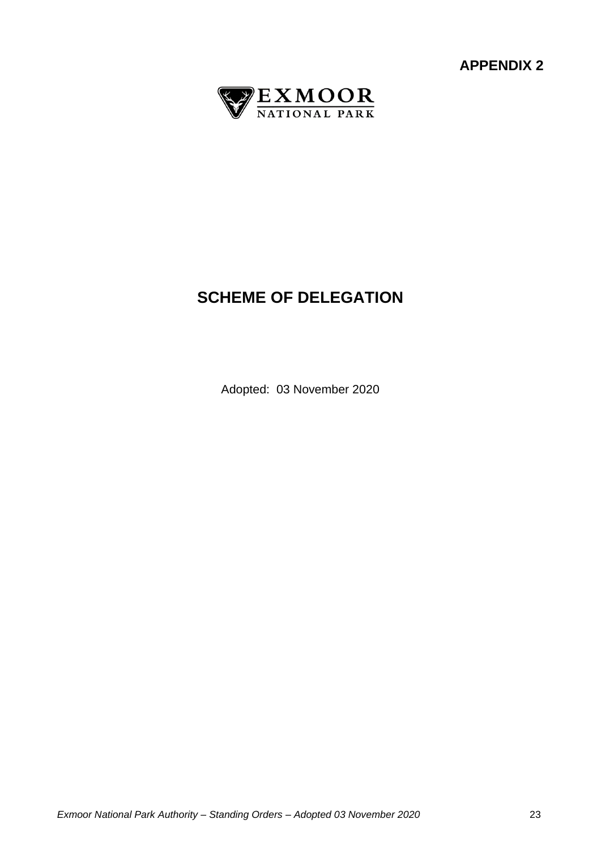**APPENDIX 2**



# <span id="page-22-0"></span>**SCHEME OF DELEGATION**

Adopted: 03 November 2020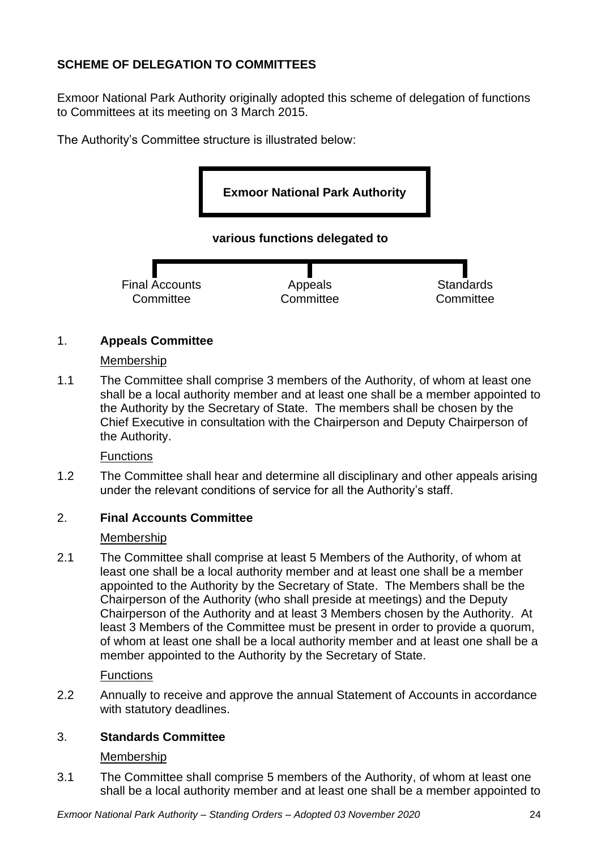# <span id="page-23-0"></span>**SCHEME OF DELEGATION TO COMMITTEES**

Exmoor National Park Authority originally adopted this scheme of delegation of functions to Committees at its meeting on 3 March 2015.

The Authority's Committee structure is illustrated below:



# <span id="page-23-1"></span>1. **Appeals Committee**

#### Membership

1.1 The Committee shall comprise 3 members of the Authority, of whom at least one shall be a local authority member and at least one shall be a member appointed to the Authority by the Secretary of State. The members shall be chosen by the Chief Executive in consultation with the Chairperson and Deputy Chairperson of the Authority.

**Functions** 

1.2 The Committee shall hear and determine all disciplinary and other appeals arising under the relevant conditions of service for all the Authority's staff.

# <span id="page-23-2"></span>2. **Final Accounts Committee**

# Membership

2.1 The Committee shall comprise at least 5 Members of the Authority, of whom at least one shall be a local authority member and at least one shall be a member appointed to the Authority by the Secretary of State. The Members shall be the Chairperson of the Authority (who shall preside at meetings) and the Deputy Chairperson of the Authority and at least 3 Members chosen by the Authority. At least 3 Members of the Committee must be present in order to provide a quorum, of whom at least one shall be a local authority member and at least one shall be a member appointed to the Authority by the Secretary of State.

# Functions

2.2 Annually to receive and approve the annual Statement of Accounts in accordance with statutory deadlines.

# <span id="page-23-3"></span>3. **Standards Committee**

# Membership

3.1 The Committee shall comprise 5 members of the Authority, of whom at least one shall be a local authority member and at least one shall be a member appointed to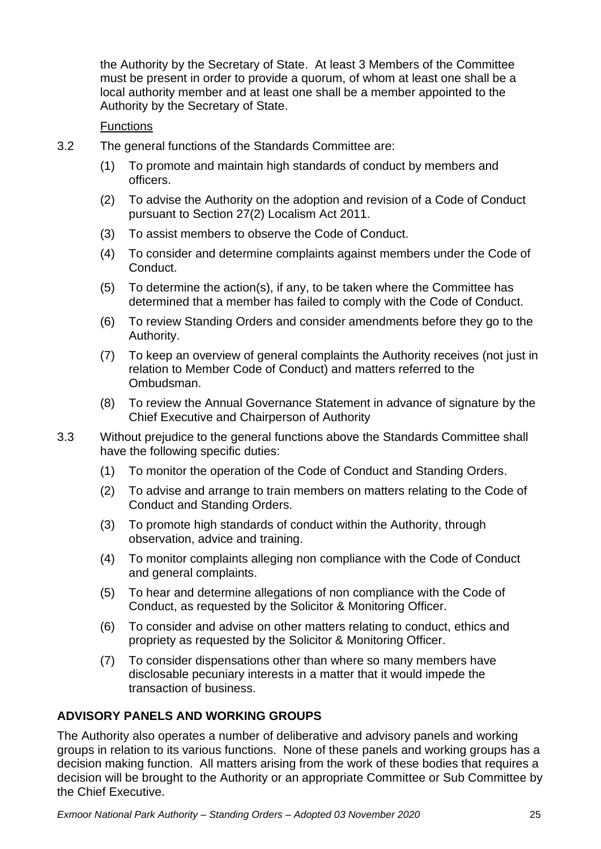the Authority by the Secretary of State. At least 3 Members of the Committee must be present in order to provide a quorum, of whom at least one shall be a local authority member and at least one shall be a member appointed to the Authority by the Secretary of State.

#### **Functions**

- 3.2 The general functions of the Standards Committee are:
	- (1) To promote and maintain high standards of conduct by members and officers.
	- (2) To advise the Authority on the adoption and revision of a Code of Conduct pursuant to Section 27(2) Localism Act 2011.
	- (3) To assist members to observe the Code of Conduct.
	- (4) To consider and determine complaints against members under the Code of Conduct.
	- (5) To determine the action(s), if any, to be taken where the Committee has determined that a member has failed to comply with the Code of Conduct.
	- (6) To review Standing Orders and consider amendments before they go to the Authority.
	- (7) To keep an overview of general complaints the Authority receives (not just in relation to Member Code of Conduct) and matters referred to the Ombudsman.
	- (8) To review the Annual Governance Statement in advance of signature by the Chief Executive and Chairperson of Authority
- 3.3 Without prejudice to the general functions above the Standards Committee shall have the following specific duties:
	- (1) To monitor the operation of the Code of Conduct and Standing Orders.
	- (2) To advise and arrange to train members on matters relating to the Code of Conduct and Standing Orders.
	- (3) To promote high standards of conduct within the Authority, through observation, advice and training.
	- (4) To monitor complaints alleging non compliance with the Code of Conduct and general complaints.
	- (5) To hear and determine allegations of non compliance with the Code of Conduct, as requested by the Solicitor & Monitoring Officer.
	- (6) To consider and advise on other matters relating to conduct, ethics and propriety as requested by the Solicitor & Monitoring Officer.
	- (7) To consider dispensations other than where so many members have disclosable pecuniary interests in a matter that it would impede the transaction of business.

# **ADVISORY PANELS AND WORKING GROUPS**

The Authority also operates a number of deliberative and advisory panels and working groups in relation to its various functions. None of these panels and working groups has a decision making function. All matters arising from the work of these bodies that requires a decision will be brought to the Authority or an appropriate Committee or Sub Committee by the Chief Executive.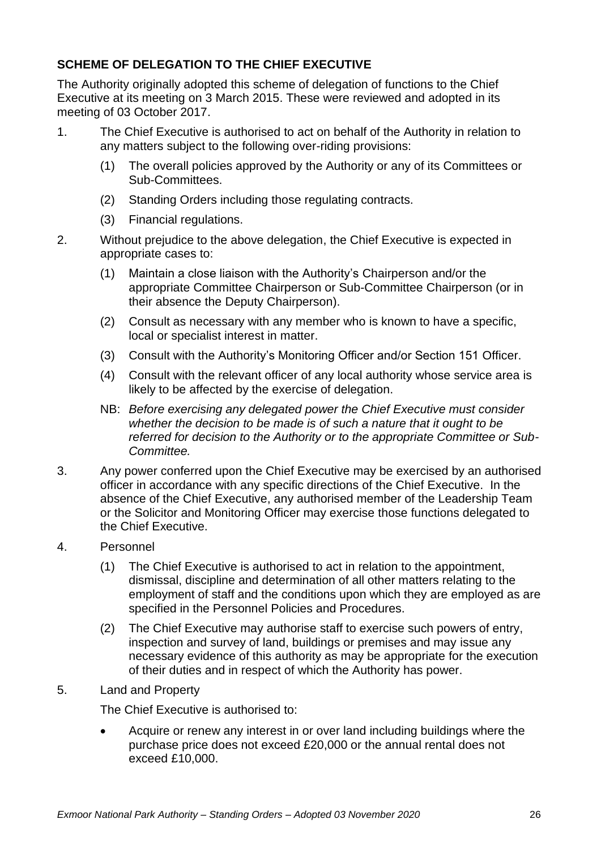# <span id="page-25-0"></span>**SCHEME OF DELEGATION TO THE CHIEF EXECUTIVE**

The Authority originally adopted this scheme of delegation of functions to the Chief Executive at its meeting on 3 March 2015. These were reviewed and adopted in its meeting of 03 October 2017.

- 1. The Chief Executive is authorised to act on behalf of the Authority in relation to any matters subject to the following over-riding provisions:
	- (1) The overall policies approved by the Authority or any of its Committees or Sub-Committees.
	- (2) Standing Orders including those regulating contracts.
	- (3) Financial regulations.
- 2. Without prejudice to the above delegation, the Chief Executive is expected in appropriate cases to:
	- (1) Maintain a close liaison with the Authority's Chairperson and/or the appropriate Committee Chairperson or Sub-Committee Chairperson (or in their absence the Deputy Chairperson).
	- (2) Consult as necessary with any member who is known to have a specific, local or specialist interest in matter.
	- (3) Consult with the Authority's Monitoring Officer and/or Section 151 Officer.
	- (4) Consult with the relevant officer of any local authority whose service area is likely to be affected by the exercise of delegation.
	- NB: *Before exercising any delegated power the Chief Executive must consider whether the decision to be made is of such a nature that it ought to be referred for decision to the Authority or to the appropriate Committee or Sub-Committee.*
- 3. Any power conferred upon the Chief Executive may be exercised by an authorised officer in accordance with any specific directions of the Chief Executive. In the absence of the Chief Executive, any authorised member of the Leadership Team or the Solicitor and Monitoring Officer may exercise those functions delegated to the Chief Executive.
- 4. Personnel
	- (1) The Chief Executive is authorised to act in relation to the appointment, dismissal, discipline and determination of all other matters relating to the employment of staff and the conditions upon which they are employed as are specified in the Personnel Policies and Procedures.
	- (2) The Chief Executive may authorise staff to exercise such powers of entry, inspection and survey of land, buildings or premises and may issue any necessary evidence of this authority as may be appropriate for the execution of their duties and in respect of which the Authority has power.
- 5. Land and Property

The Chief Executive is authorised to:

• Acquire or renew any interest in or over land including buildings where the purchase price does not exceed £20,000 or the annual rental does not exceed £10,000.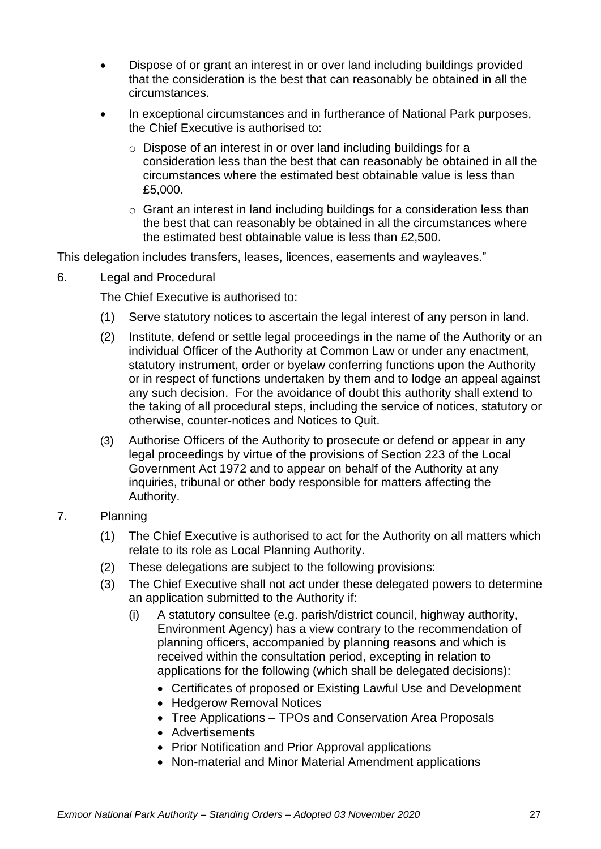- Dispose of or grant an interest in or over land including buildings provided that the consideration is the best that can reasonably be obtained in all the circumstances.
- In exceptional circumstances and in furtherance of National Park purposes, the Chief Executive is authorised to:
	- o Dispose of an interest in or over land including buildings for a consideration less than the best that can reasonably be obtained in all the circumstances where the estimated best obtainable value is less than £5,000.
	- o Grant an interest in land including buildings for a consideration less than the best that can reasonably be obtained in all the circumstances where the estimated best obtainable value is less than £2,500.

This delegation includes transfers, leases, licences, easements and wayleaves."

6. Legal and Procedural

The Chief Executive is authorised to:

- (1) Serve statutory notices to ascertain the legal interest of any person in land.
- (2) Institute, defend or settle legal proceedings in the name of the Authority or an individual Officer of the Authority at Common Law or under any enactment, statutory instrument, order or byelaw conferring functions upon the Authority or in respect of functions undertaken by them and to lodge an appeal against any such decision. For the avoidance of doubt this authority shall extend to the taking of all procedural steps, including the service of notices, statutory or otherwise, counter-notices and Notices to Quit.
- (3) Authorise Officers of the Authority to prosecute or defend or appear in any legal proceedings by virtue of the provisions of Section 223 of the Local Government Act 1972 and to appear on behalf of the Authority at any inquiries, tribunal or other body responsible for matters affecting the Authority.
- 7. Planning
	- (1) The Chief Executive is authorised to act for the Authority on all matters which relate to its role as Local Planning Authority.
	- (2) These delegations are subject to the following provisions:
	- (3) The Chief Executive shall not act under these delegated powers to determine an application submitted to the Authority if:
		- (i) A statutory consultee (e.g. parish/district council, highway authority, Environment Agency) has a view contrary to the recommendation of planning officers, accompanied by planning reasons and which is received within the consultation period, excepting in relation to applications for the following (which shall be delegated decisions):
			- Certificates of proposed or Existing Lawful Use and Development
			- Hedgerow Removal Notices
			- Tree Applications TPOs and Conservation Area Proposals
			- Advertisements
			- Prior Notification and Prior Approval applications
			- Non-material and Minor Material Amendment applications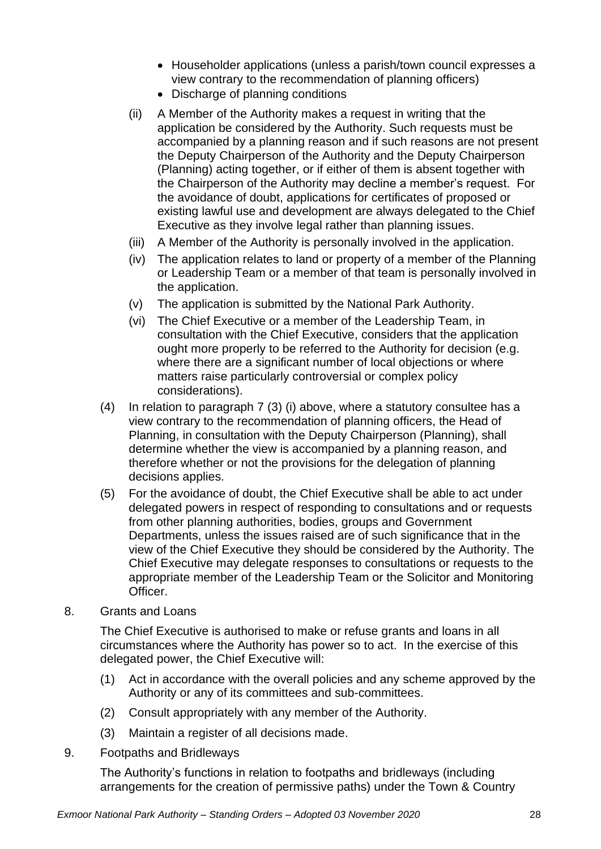- Householder applications (unless a parish/town council expresses a view contrary to the recommendation of planning officers)
- Discharge of planning conditions
- (ii) A Member of the Authority makes a request in writing that the application be considered by the Authority. Such requests must be accompanied by a planning reason and if such reasons are not present the Deputy Chairperson of the Authority and the Deputy Chairperson (Planning) acting together, or if either of them is absent together with the Chairperson of the Authority may decline a member's request. For the avoidance of doubt, applications for certificates of proposed or existing lawful use and development are always delegated to the Chief Executive as they involve legal rather than planning issues.
- (iii) A Member of the Authority is personally involved in the application.
- (iv) The application relates to land or property of a member of the Planning or Leadership Team or a member of that team is personally involved in the application.
- (v) The application is submitted by the National Park Authority.
- (vi) The Chief Executive or a member of the Leadership Team, in consultation with the Chief Executive, considers that the application ought more properly to be referred to the Authority for decision (e.g. where there are a significant number of local objections or where matters raise particularly controversial or complex policy considerations).
- (4) In relation to paragraph 7 (3) (i) above, where a statutory consultee has a view contrary to the recommendation of planning officers, the Head of Planning, in consultation with the Deputy Chairperson (Planning), shall determine whether the view is accompanied by a planning reason, and therefore whether or not the provisions for the delegation of planning decisions applies.
- (5) For the avoidance of doubt, the Chief Executive shall be able to act under delegated powers in respect of responding to consultations and or requests from other planning authorities, bodies, groups and Government Departments, unless the issues raised are of such significance that in the view of the Chief Executive they should be considered by the Authority. The Chief Executive may delegate responses to consultations or requests to the appropriate member of the Leadership Team or the Solicitor and Monitoring Officer.
- 8. Grants and Loans

The Chief Executive is authorised to make or refuse grants and loans in all circumstances where the Authority has power so to act. In the exercise of this delegated power, the Chief Executive will:

- (1) Act in accordance with the overall policies and any scheme approved by the Authority or any of its committees and sub-committees.
- (2) Consult appropriately with any member of the Authority.
- (3) Maintain a register of all decisions made.
- 9. Footpaths and Bridleways

The Authority's functions in relation to footpaths and bridleways (including arrangements for the creation of permissive paths) under the Town & Country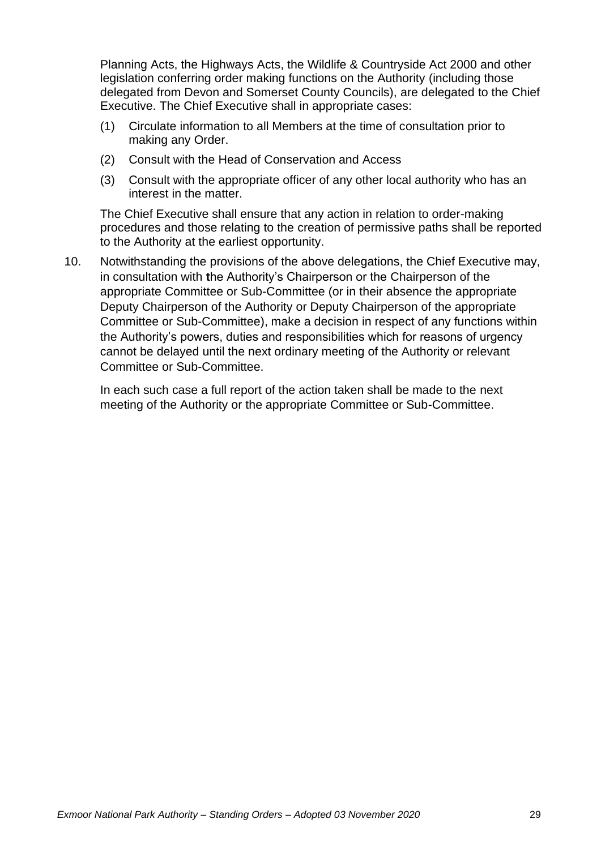Planning Acts, the Highways Acts, the Wildlife & Countryside Act 2000 and other legislation conferring order making functions on the Authority (including those delegated from Devon and Somerset County Councils), are delegated to the Chief Executive. The Chief Executive shall in appropriate cases:

- (1) Circulate information to all Members at the time of consultation prior to making any Order.
- (2) Consult with the Head of Conservation and Access
- (3) Consult with the appropriate officer of any other local authority who has an interest in the matter.

The Chief Executive shall ensure that any action in relation to order-making procedures and those relating to the creation of permissive paths shall be reported to the Authority at the earliest opportunity.

10. Notwithstanding the provisions of the above delegations, the Chief Executive may, in consultation with **t**he Authority's Chairperson or the Chairperson of the appropriate Committee or Sub-Committee (or in their absence the appropriate Deputy Chairperson of the Authority or Deputy Chairperson of the appropriate Committee or Sub-Committee), make a decision in respect of any functions within the Authority's powers, duties and responsibilities which for reasons of urgency cannot be delayed until the next ordinary meeting of the Authority or relevant Committee or Sub-Committee.

In each such case a full report of the action taken shall be made to the next meeting of the Authority or the appropriate Committee or Sub-Committee.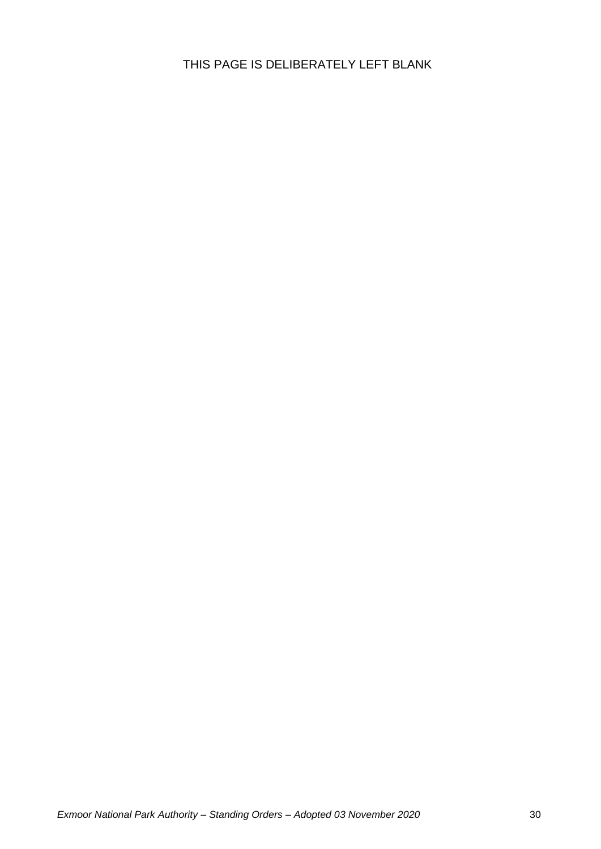# THIS PAGE IS DELIBERATELY LEFT BLANK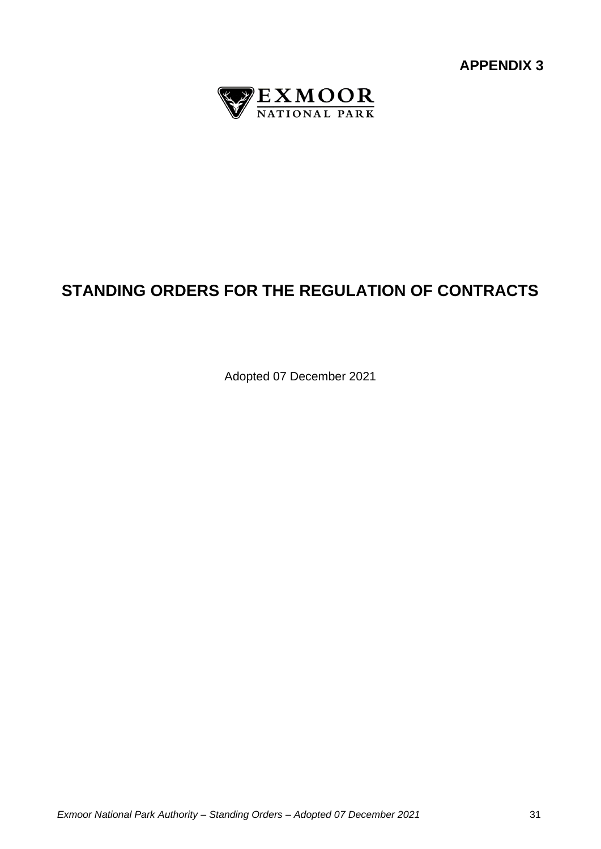**APPENDIX 3**



# <span id="page-30-0"></span>**STANDING ORDERS FOR THE REGULATION OF CONTRACTS**

Adopted 07 December 2021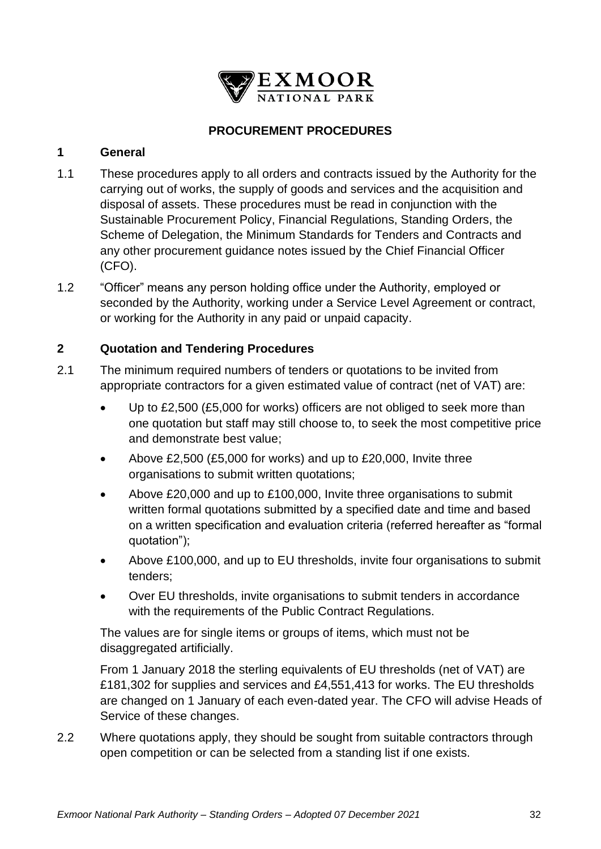

# **PROCUREMENT PROCEDURES**

#### <span id="page-31-0"></span>**1 General**

- 1.1 These procedures apply to all orders and contracts issued by the Authority for the carrying out of works, the supply of goods and services and the acquisition and disposal of assets. These procedures must be read in conjunction with the Sustainable Procurement Policy, Financial Regulations, Standing Orders, the Scheme of Delegation, the Minimum Standards for Tenders and Contracts and any other procurement guidance notes issued by the Chief Financial Officer (CFO).
- 1.2 "Officer" means any person holding office under the Authority, employed or seconded by the Authority, working under a Service Level Agreement or contract, or working for the Authority in any paid or unpaid capacity.

# **2 Quotation and Tendering Procedures**

- 2.1 The minimum required numbers of tenders or quotations to be invited from appropriate contractors for a given estimated value of contract (net of VAT) are:
	- Up to £2,500 (£5,000 for works) officers are not obliged to seek more than one quotation but staff may still choose to, to seek the most competitive price and demonstrate best value;
	- Above £2,500 (£5,000 for works) and up to £20,000, Invite three organisations to submit written quotations;
	- Above £20,000 and up to £100,000, Invite three organisations to submit written formal quotations submitted by a specified date and time and based on a written specification and evaluation criteria (referred hereafter as "formal quotation");
	- Above £100,000, and up to EU thresholds, invite four organisations to submit tenders;
	- Over EU thresholds, invite organisations to submit tenders in accordance with the requirements of the Public Contract Regulations.

The values are for single items or groups of items, which must not be disaggregated artificially.

From 1 January 2018 the sterling equivalents of EU thresholds (net of VAT) are £181,302 for supplies and services and £4,551,413 for works. The EU thresholds are changed on 1 January of each even-dated year. The CFO will advise Heads of Service of these changes.

2.2 Where quotations apply, they should be sought from suitable contractors through open competition or can be selected from a standing list if one exists.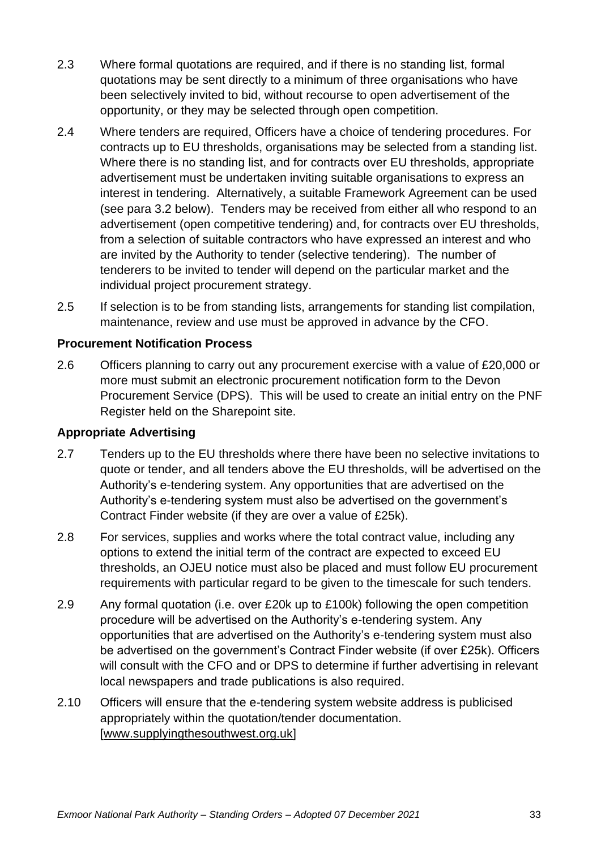- 2.3 Where formal quotations are required, and if there is no standing list, formal quotations may be sent directly to a minimum of three organisations who have been selectively invited to bid, without recourse to open advertisement of the opportunity, or they may be selected through open competition.
- 2.4 Where tenders are required, Officers have a choice of tendering procedures. For contracts up to EU thresholds, organisations may be selected from a standing list. Where there is no standing list, and for contracts over EU thresholds, appropriate advertisement must be undertaken inviting suitable organisations to express an interest in tendering. Alternatively, a suitable Framework Agreement can be used (see para 3.2 below). Tenders may be received from either all who respond to an advertisement (open competitive tendering) and, for contracts over EU thresholds, from a selection of suitable contractors who have expressed an interest and who are invited by the Authority to tender (selective tendering). The number of tenderers to be invited to tender will depend on the particular market and the individual project procurement strategy.
- 2.5 If selection is to be from standing lists, arrangements for standing list compilation, maintenance, review and use must be approved in advance by the CFO.

# **Procurement Notification Process**

2.6 Officers planning to carry out any procurement exercise with a value of £20,000 or more must submit an electronic procurement notification form to the Devon Procurement Service (DPS). This will be used to create an initial entry on the PNF Register held on the Sharepoint site.

#### **Appropriate Advertising**

- 2.7 Tenders up to the EU thresholds where there have been no selective invitations to quote or tender, and all tenders above the EU thresholds, will be advertised on the Authority's e-tendering system. Any opportunities that are advertised on the Authority's e-tendering system must also be advertised on the government's Contract Finder website (if they are over a value of £25k).
- 2.8 For services, supplies and works where the total contract value, including any options to extend the initial term of the contract are expected to exceed EU thresholds, an OJEU notice must also be placed and must follow EU procurement requirements with particular regard to be given to the timescale for such tenders.
- 2.9 Any formal quotation (i.e. over £20k up to £100k) following the open competition procedure will be advertised on the Authority's e-tendering system. Any opportunities that are advertised on the Authority's e-tendering system must also be advertised on the government's Contract Finder website (if over £25k). Officers will consult with the CFO and or DPS to determine if further advertising in relevant local newspapers and trade publications is also required.
- 2.10 Officers will ensure that the e-tendering system website address is publicised appropriately within the quotation/tender documentation. [\[www.supplyingthesouthwest.org.uk\]](http://www.supplyingthesouthwest.org.uk/)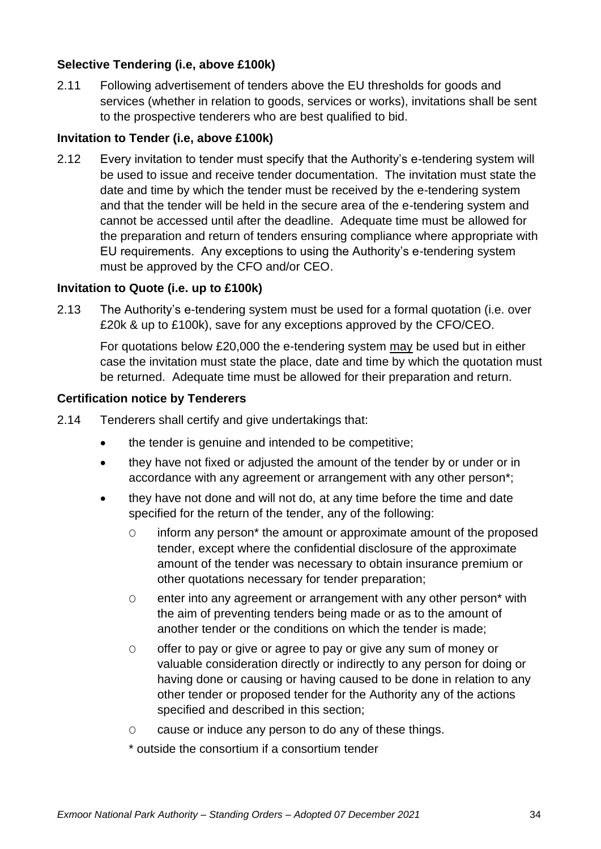# **Selective Tendering (i.e, above £100k)**

2.11 Following advertisement of tenders above the EU thresholds for goods and services (whether in relation to goods, services or works), invitations shall be sent to the prospective tenderers who are best qualified to bid.

# **Invitation to Tender (i.e, above £100k)**

2.12 Every invitation to tender must specify that the Authority's e-tendering system will be used to issue and receive tender documentation. The invitation must state the date and time by which the tender must be received by the e-tendering system and that the tender will be held in the secure area of the e-tendering system and cannot be accessed until after the deadline. Adequate time must be allowed for the preparation and return of tenders ensuring compliance where appropriate with EU requirements. Any exceptions to using the Authority's e-tendering system must be approved by the CFO and/or CEO.

# **Invitation to Quote (i.e. up to £100k)**

2.13 The Authority's e-tendering system must be used for a formal quotation (i.e. over £20k & up to £100k), save for any exceptions approved by the CFO/CEO.

For quotations below £20,000 the e-tendering system may be used but in either case the invitation must state the place, date and time by which the quotation must be returned. Adequate time must be allowed for their preparation and return.

# **Certification notice by Tenderers**

- 2.14 Tenderers shall certify and give undertakings that:
	- the tender is genuine and intended to be competitive;
	- they have not fixed or adjusted the amount of the tender by or under or in accordance with any agreement or arrangement with any other person\*;
	- they have not done and will not do, at any time before the time and date specified for the return of the tender, any of the following:
		- O inform any person\* the amount or approximate amount of the proposed tender, except where the confidential disclosure of the approximate amount of the tender was necessary to obtain insurance premium or other quotations necessary for tender preparation;
		- O enter into any agreement or arrangement with any other person\* with the aim of preventing tenders being made or as to the amount of another tender or the conditions on which the tender is made;
		- O offer to pay or give or agree to pay or give any sum of money or valuable consideration directly or indirectly to any person for doing or having done or causing or having caused to be done in relation to any other tender or proposed tender for the Authority any of the actions specified and described in this section;
		- O cause or induce any person to do any of these things.

\* outside the consortium if a consortium tender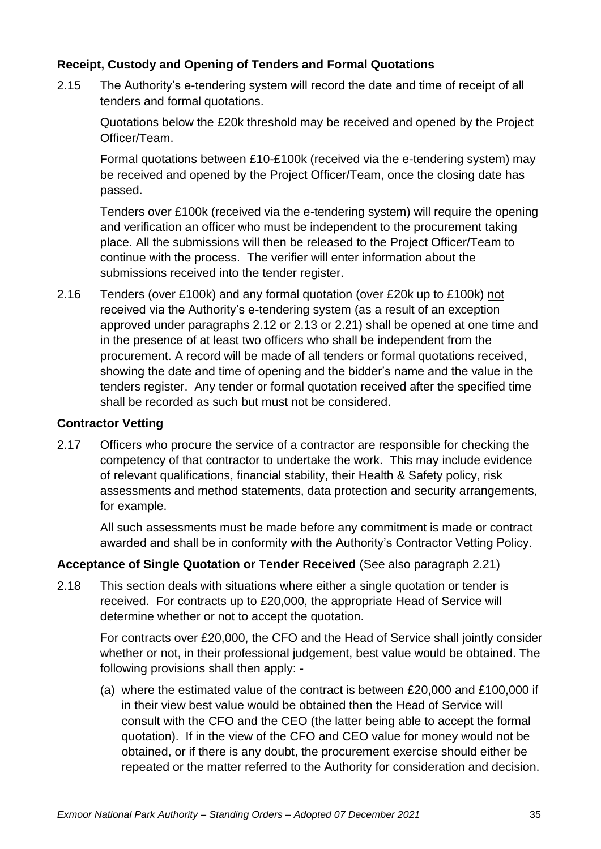# **Receipt, Custody and Opening of Tenders and Formal Quotations**

2.15 The Authority's e-tendering system will record the date and time of receipt of all tenders and formal quotations.

Quotations below the £20k threshold may be received and opened by the Project Officer/Team.

Formal quotations between £10-£100k (received via the e-tendering system) may be received and opened by the Project Officer/Team, once the closing date has passed.

Tenders over £100k (received via the e-tendering system) will require the opening and verification an officer who must be independent to the procurement taking place. All the submissions will then be released to the Project Officer/Team to continue with the process. The verifier will enter information about the submissions received into the tender register.

2.16 Tenders (over £100k) and any formal quotation (over £20k up to £100k) not received via the Authority's e-tendering system (as a result of an exception approved under paragraphs 2.12 or 2.13 or 2.21) shall be opened at one time and in the presence of at least two officers who shall be independent from the procurement. A record will be made of all tenders or formal quotations received, showing the date and time of opening and the bidder's name and the value in the tenders register. Any tender or formal quotation received after the specified time shall be recorded as such but must not be considered.

#### **Contractor Vetting**

2.17 Officers who procure the service of a contractor are responsible for checking the competency of that contractor to undertake the work. This may include evidence of relevant qualifications, financial stability, their Health & Safety policy, risk assessments and method statements, data protection and security arrangements, for example.

All such assessments must be made before any commitment is made or contract awarded and shall be in conformity with the Authority's Contractor Vetting Policy.

# **Acceptance of Single Quotation or Tender Received** (See also paragraph 2.21)

2.18 This section deals with situations where either a single quotation or tender is received. For contracts up to £20,000, the appropriate Head of Service will determine whether or not to accept the quotation.

For contracts over £20,000, the CFO and the Head of Service shall jointly consider whether or not, in their professional judgement, best value would be obtained. The following provisions shall then apply: -

(a) where the estimated value of the contract is between £20,000 and £100,000 if in their view best value would be obtained then the Head of Service will consult with the CFO and the CEO (the latter being able to accept the formal quotation). If in the view of the CFO and CEO value for money would not be obtained, or if there is any doubt, the procurement exercise should either be repeated or the matter referred to the Authority for consideration and decision.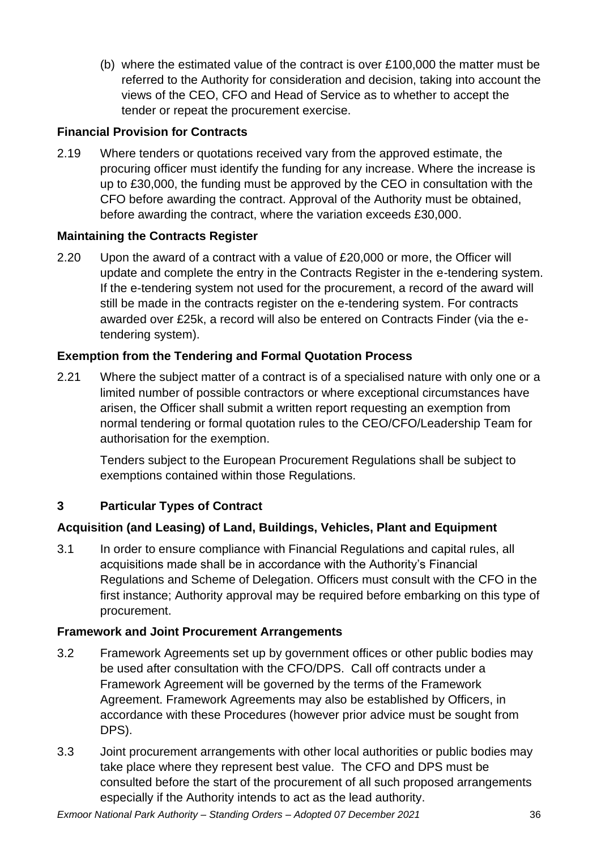(b) where the estimated value of the contract is over  $£100,000$  the matter must be referred to the Authority for consideration and decision, taking into account the views of the CEO, CFO and Head of Service as to whether to accept the tender or repeat the procurement exercise.

# **Financial Provision for Contracts**

2.19 Where tenders or quotations received vary from the approved estimate, the procuring officer must identify the funding for any increase. Where the increase is up to £30,000, the funding must be approved by the CEO in consultation with the CFO before awarding the contract. Approval of the Authority must be obtained, before awarding the contract, where the variation exceeds £30,000.

# **Maintaining the Contracts Register**

2.20 Upon the award of a contract with a value of £20,000 or more, the Officer will update and complete the entry in the Contracts Register in the e-tendering system. If the e-tendering system not used for the procurement, a record of the award will still be made in the contracts register on the e-tendering system. For contracts awarded over £25k, a record will also be entered on Contracts Finder (via the etendering system).

# **Exemption from the Tendering and Formal Quotation Process**

2.21 Where the subject matter of a contract is of a specialised nature with only one or a limited number of possible contractors or where exceptional circumstances have arisen, the Officer shall submit a written report requesting an exemption from normal tendering or formal quotation rules to the CEO/CFO/Leadership Team for authorisation for the exemption.

Tenders subject to the European Procurement Regulations shall be subject to exemptions contained within those Regulations.

# **3 Particular Types of Contract**

# **Acquisition (and Leasing) of Land, Buildings, Vehicles, Plant and Equipment**

3.1 In order to ensure compliance with Financial Regulations and capital rules, all acquisitions made shall be in accordance with the Authority's Financial Regulations and Scheme of Delegation. Officers must consult with the CFO in the first instance; Authority approval may be required before embarking on this type of procurement.

# **Framework and Joint Procurement Arrangements**

- 3.2 Framework Agreements set up by government offices or other public bodies may be used after consultation with the CFO/DPS. Call off contracts under a Framework Agreement will be governed by the terms of the Framework Agreement. Framework Agreements may also be established by Officers, in accordance with these Procedures (however prior advice must be sought from DPS).
- 3.3 Joint procurement arrangements with other local authorities or public bodies may take place where they represent best value. The CFO and DPS must be consulted before the start of the procurement of all such proposed arrangements especially if the Authority intends to act as the lead authority.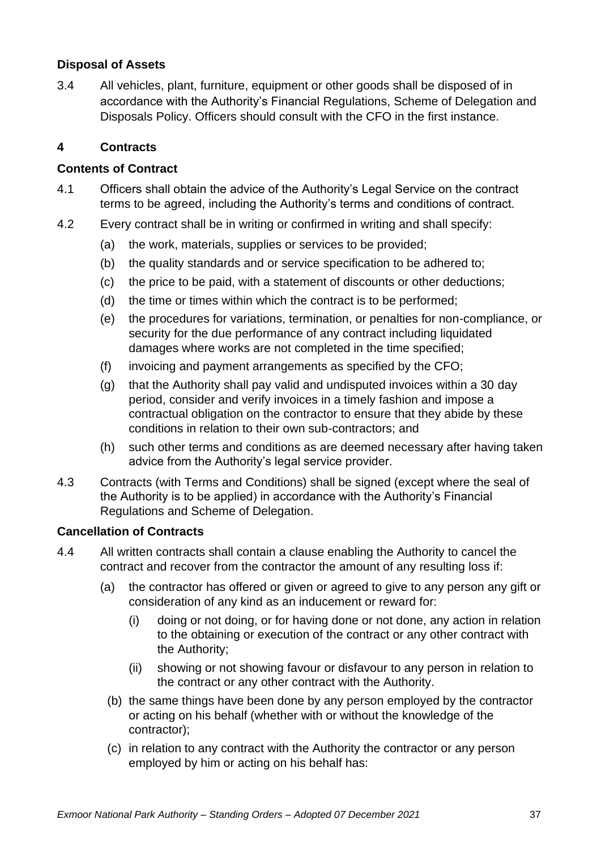# **Disposal of Assets**

3.4 All vehicles, plant, furniture, equipment or other goods shall be disposed of in accordance with the Authority's Financial Regulations, Scheme of Delegation and Disposals Policy. Officers should consult with the CFO in the first instance.

#### **4 Contracts**

#### **Contents of Contract**

- 4.1 Officers shall obtain the advice of the Authority's Legal Service on the contract terms to be agreed, including the Authority's terms and conditions of contract.
- 4.2 Every contract shall be in writing or confirmed in writing and shall specify:
	- (a) the work, materials, supplies or services to be provided;
	- (b) the quality standards and or service specification to be adhered to;
	- (c) the price to be paid, with a statement of discounts or other deductions;
	- (d) the time or times within which the contract is to be performed;
	- (e) the procedures for variations, termination, or penalties for non-compliance, or security for the due performance of any contract including liquidated damages where works are not completed in the time specified;
	- (f) invoicing and payment arrangements as specified by the CFO;
	- (g) that the Authority shall pay valid and undisputed invoices within a 30 day period, consider and verify invoices in a timely fashion and impose a contractual obligation on the contractor to ensure that they abide by these conditions in relation to their own sub-contractors; and
	- (h) such other terms and conditions as are deemed necessary after having taken advice from the Authority's legal service provider.
- 4.3 Contracts (with Terms and Conditions) shall be signed (except where the seal of the Authority is to be applied) in accordance with the Authority's Financial Regulations and Scheme of Delegation.

#### **Cancellation of Contracts**

- 4.4 All written contracts shall contain a clause enabling the Authority to cancel the contract and recover from the contractor the amount of any resulting loss if:
	- (a) the contractor has offered or given or agreed to give to any person any gift or consideration of any kind as an inducement or reward for:
		- (i) doing or not doing, or for having done or not done, any action in relation to the obtaining or execution of the contract or any other contract with the Authority;
		- (ii) showing or not showing favour or disfavour to any person in relation to the contract or any other contract with the Authority.
		- (b) the same things have been done by any person employed by the contractor or acting on his behalf (whether with or without the knowledge of the contractor);
		- (c) in relation to any contract with the Authority the contractor or any person employed by him or acting on his behalf has: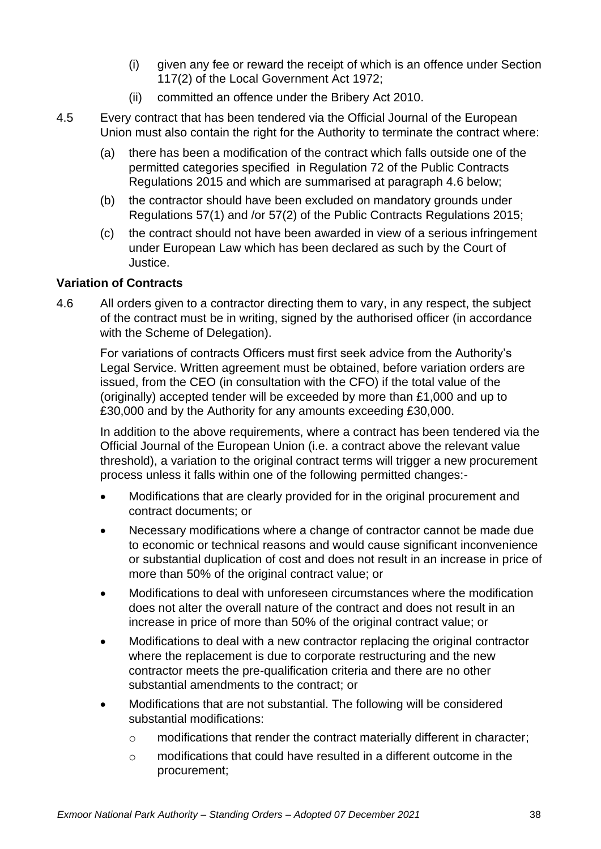- (i) given any fee or reward the receipt of which is an offence under Section 117(2) of the Local Government Act 1972;
- (ii) committed an offence under the Bribery Act 2010.
- 4.5 Every contract that has been tendered via the Official Journal of the European Union must also contain the right for the Authority to terminate the contract where:
	- (a) there has been a modification of the contract which falls outside one of the permitted categories specified in Regulation 72 of the Public Contracts Regulations 2015 and which are summarised at paragraph 4.6 below;
	- (b) the contractor should have been excluded on mandatory grounds under Regulations 57(1) and /or 57(2) of the Public Contracts Regulations 2015;
	- (c) the contract should not have been awarded in view of a serious infringement under European Law which has been declared as such by the Court of Justice.

# **Variation of Contracts**

4.6 All orders given to a contractor directing them to vary, in any respect, the subject of the contract must be in writing, signed by the authorised officer (in accordance with the Scheme of Delegation).

For variations of contracts Officers must first seek advice from the Authority's Legal Service. Written agreement must be obtained, before variation orders are issued, from the CEO (in consultation with the CFO) if the total value of the (originally) accepted tender will be exceeded by more than £1,000 and up to £30,000 and by the Authority for any amounts exceeding £30,000.

In addition to the above requirements, where a contract has been tendered via the Official Journal of the European Union (i.e. a contract above the relevant value threshold), a variation to the original contract terms will trigger a new procurement process unless it falls within one of the following permitted changes:-

- Modifications that are clearly provided for in the original procurement and contract documents; or
- Necessary modifications where a change of contractor cannot be made due to economic or technical reasons and would cause significant inconvenience or substantial duplication of cost and does not result in an increase in price of more than 50% of the original contract value; or
- Modifications to deal with unforeseen circumstances where the modification does not alter the overall nature of the contract and does not result in an increase in price of more than 50% of the original contract value; or
- Modifications to deal with a new contractor replacing the original contractor where the replacement is due to corporate restructuring and the new contractor meets the pre-qualification criteria and there are no other substantial amendments to the contract; or
- Modifications that are not substantial. The following will be considered substantial modifications:
	- o modifications that render the contract materially different in character;
	- o modifications that could have resulted in a different outcome in the procurement;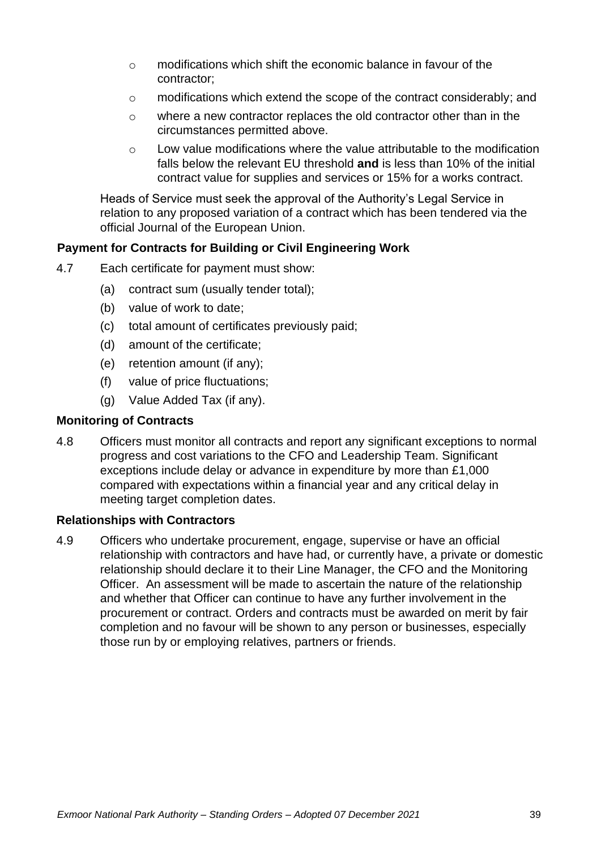- o modifications which shift the economic balance in favour of the contractor;
- o modifications which extend the scope of the contract considerably; and
- o where a new contractor replaces the old contractor other than in the circumstances permitted above.
- o Low value modifications where the value attributable to the modification falls below the relevant EU threshold **and** is less than 10% of the initial contract value for supplies and services or 15% for a works contract.

Heads of Service must seek the approval of the Authority's Legal Service in relation to any proposed variation of a contract which has been tendered via the official Journal of the European Union.

# **Payment for Contracts for Building or Civil Engineering Work**

- 4.7 Each certificate for payment must show:
	- (a) contract sum (usually tender total);
	- (b) value of work to date;
	- (c) total amount of certificates previously paid;
	- (d) amount of the certificate;
	- (e) retention amount (if any);
	- (f) value of price fluctuations;
	- (g) Value Added Tax (if any).

#### **Monitoring of Contracts**

4.8 Officers must monitor all contracts and report any significant exceptions to normal progress and cost variations to the CFO and Leadership Team. Significant exceptions include delay or advance in expenditure by more than £1,000 compared with expectations within a financial year and any critical delay in meeting target completion dates.

#### **Relationships with Contractors**

4.9 Officers who undertake procurement, engage, supervise or have an official relationship with contractors and have had, or currently have, a private or domestic relationship should declare it to their Line Manager, the CFO and the Monitoring Officer. An assessment will be made to ascertain the nature of the relationship and whether that Officer can continue to have any further involvement in the procurement or contract. Orders and contracts must be awarded on merit by fair completion and no favour will be shown to any person or businesses, especially those run by or employing relatives, partners or friends.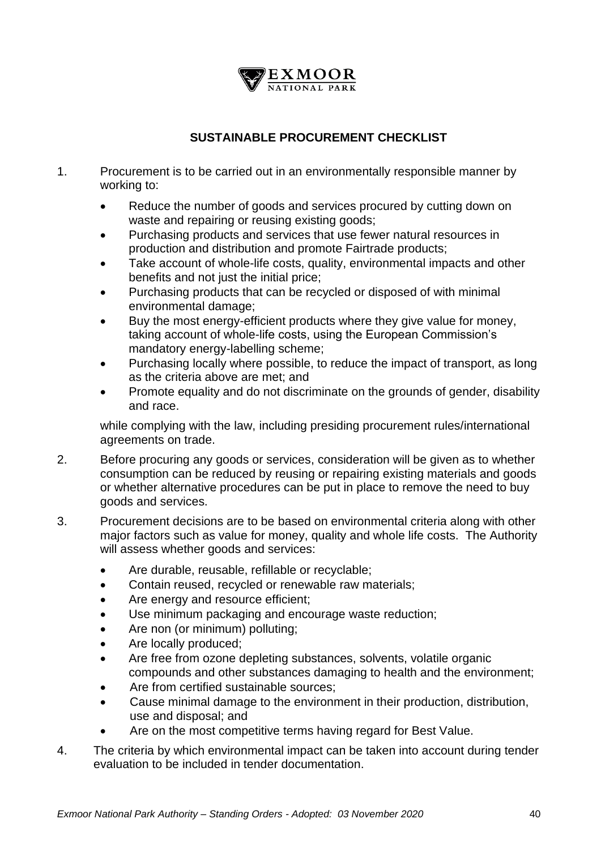

# **SUSTAINABLE PROCUREMENT CHECKLIST**

- <span id="page-39-0"></span>1. Procurement is to be carried out in an environmentally responsible manner by working to:
	- Reduce the number of goods and services procured by cutting down on waste and repairing or reusing existing goods;
	- Purchasing products and services that use fewer natural resources in production and distribution and promote Fairtrade products;
	- Take account of whole-life costs, quality, environmental impacts and other benefits and not just the initial price;
	- Purchasing products that can be recycled or disposed of with minimal environmental damage;
	- Buy the most energy-efficient products where they give value for money, taking account of whole-life costs, using the European Commission's mandatory energy-labelling scheme;
	- Purchasing locally where possible, to reduce the impact of transport, as long as the criteria above are met; and
	- Promote equality and do not discriminate on the grounds of gender, disability and race.

while complying with the law, including presiding procurement rules/international agreements on trade.

- 2. Before procuring any goods or services, consideration will be given as to whether consumption can be reduced by reusing or repairing existing materials and goods or whether alternative procedures can be put in place to remove the need to buy goods and services.
- 3. Procurement decisions are to be based on environmental criteria along with other major factors such as value for money, quality and whole life costs. The Authority will assess whether goods and services:
	- Are durable, reusable, refillable or recyclable;
	- Contain reused, recycled or renewable raw materials;
	- Are energy and resource efficient;
	- Use minimum packaging and encourage waste reduction;
	- Are non (or minimum) polluting;
	- Are locally produced;
	- Are free from ozone depleting substances, solvents, volatile organic compounds and other substances damaging to health and the environment;
	- Are from certified sustainable sources:
	- Cause minimal damage to the environment in their production, distribution, use and disposal; and
	- Are on the most competitive terms having regard for Best Value.
- 4. The criteria by which environmental impact can be taken into account during tender evaluation to be included in tender documentation.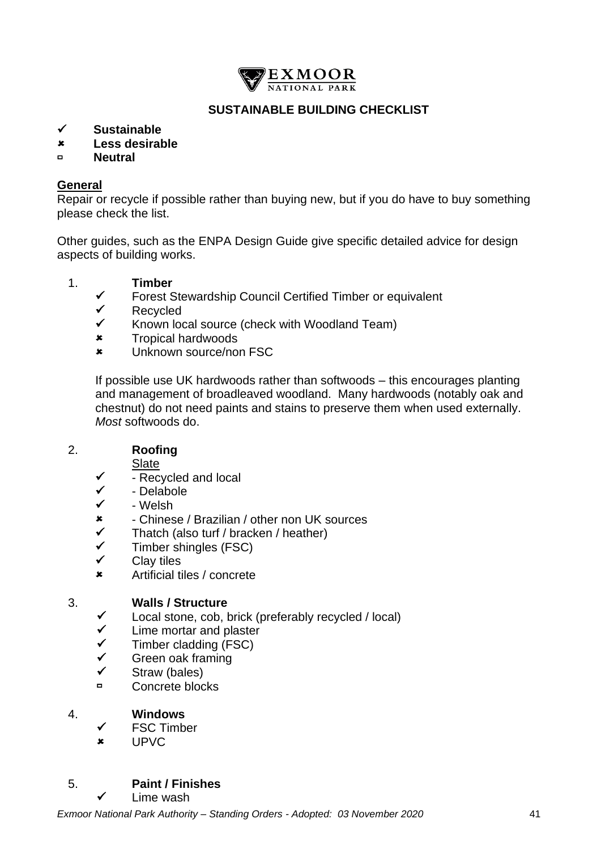

# **SUSTAINABLE BUILDING CHECKLIST**

#### <span id="page-40-0"></span>✓ **Sustainable**

#### **Less desirable**

#### **Neutral**

#### **General**

Repair or recycle if possible rather than buying new, but if you do have to buy something please check the list.

Other guides, such as the ENPA Design Guide give specific detailed advice for design aspects of building works.

#### 1. **Timber**

- ✓ Forest Stewardship Council Certified Timber or equivalent
- ✓ Recycled
- Known local source (check with Woodland Team)
- **\*** Tropical hardwoods
- Unknown source/non FSC

If possible use UK hardwoods rather than softwoods – this encourages planting and management of broadleaved woodland. Many hardwoods (notably oak and chestnut) do not need paints and stains to preserve them when used externally. *Most* softwoods do.

#### 2. **Roofing**

Slate

- ✓ Recycled and local
- ✓ Delabole
- ✓ Welsh
- **\*** Chinese / Brazilian / other non UK sources<br>  $\checkmark$  Thatch (also turf / bracken / heather)
- Thatch (also turf / bracken / heather)
- ✓ Timber shingles (FSC)
- Clay tiles
- Artificial tiles / concrete

#### 3. **Walls / Structure**

- Local stone, cob, brick (preferably recycled / local)
- Lime mortar and plaster
- Timber cladding (FSC)
- <del>✓</del> Green oak framing<br>✓ Straw (bales)
- Straw (bales)
- Concrete blocks

#### 4. **Windows**

- ✓ FSC Timber
- UPVC

# 5. **Paint / Finishes**

Lime wash

*Exmoor National Park Authority – Standing Orders - Adopted: 03 November 2020* 41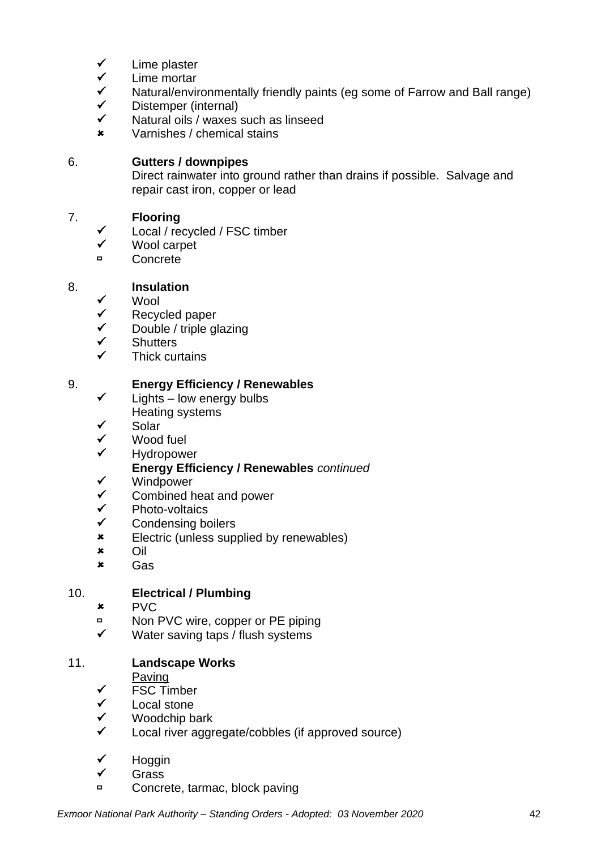- ✓ Lime plaster
- Lime mortar
- Natural/environmentally friendly paints (eg some of Farrow and Ball range)
- Distemper (internal)
- ✓ Natural oils / waxes such as linseed
- Varnishes / chemical stains

# 6. **Gutters / downpipes**

Direct rainwater into ground rather than drains if possible. Salvage and repair cast iron, copper or lead

# 7. **Flooring**

- Local / recycled / FSC timber
- ✓ Wool carpet
- Concrete

# 8. **Insulation**

- Wool
- Recycled paper
- Double / triple glazing
- **Shutters**
- Thick curtains

# 9. **Energy Efficiency / Renewables**

- $Lights low energy bulbs$ Heating systems
- **Solar**
- Wood fuel
- **Hydropower**

# **Energy Efficiency / Renewables** *continued*

- **Windpower**
- Combined heat and power
- ✓ Photo-voltaics
- **✓** Condensing boilers<br> **×** Electric (unless sun)
- Electric (unless supplied by renewables)
- Oil
- $\mathbf{\mathsf{x}}$  Gas

# 10. **Electrical / Plumbing**

- PVC
- □ Non PVC wire, copper or PE piping<br>✔ Water saving tans / flush systems
- Water saving taps / flush systems

# 11. **Landscape Works**

Paving

- $\sqrt{5}$  FSC Timber
- Local stone
- Woodchip bark
- Local river aggregate/cobbles (if approved source)
- ✓ Hoggin
- ✓ Grass
- □ Concrete, tarmac, block paving